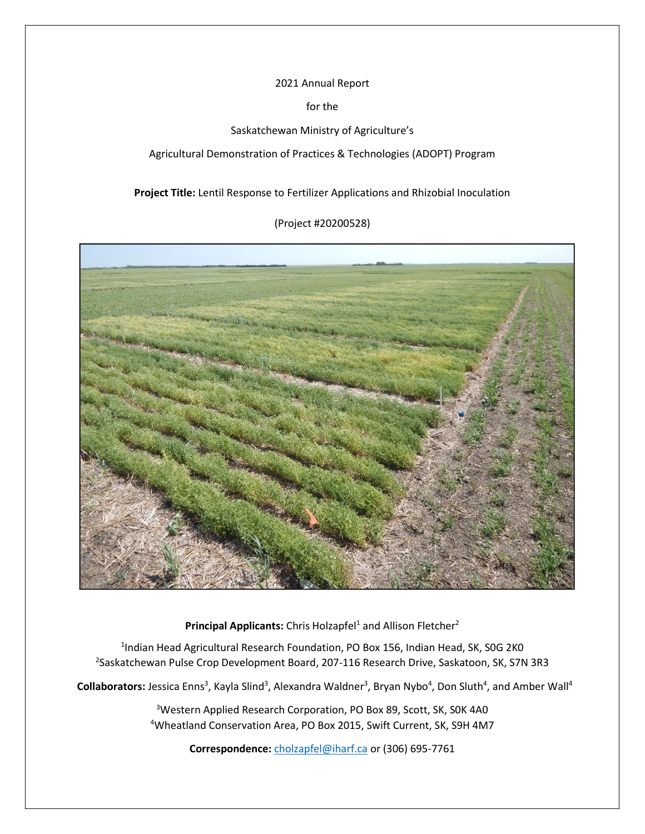## 2021 Annual Report

for the

Saskatchewan Ministry of Agriculture's

Agricultural Demonstration of Practices & Technologies (ADOPT) Program

**Project Title:** Lentil Response to Fertilizer Applications and Rhizobial Inoculation

(Project #20200528)



Principal Applicants: Chris Holzapfel<sup>1</sup> and Allison Fletcher<sup>2</sup>

<sup>1</sup>Indian Head Agricultural Research Foundation, PO Box 156, Indian Head, SK, S0G 2K0 <sup>2</sup>Saskatchewan Pulse Crop Development Board, 207-116 Research Drive, Saskatoon, SK, S7N 3R3

Collaborators: Jessica Enns<sup>3</sup>, Kayla Slind<sup>3</sup>, Alexandra Waldner<sup>3</sup>, Bryan Nybo<sup>4</sup>, Don Sluth<sup>4</sup>, and Amber Wall<sup>4</sup>

<sup>3</sup>Western Applied Research Corporation, PO Box 89, Scott, SK, SOK 4A0 <sup>4</sup>Wheatland Conservation Area, PO Box 2015, Swift Current, SK, S9H 4M7

**Correspondence:** [cholzapfel@iharf.ca](mailto:cholzapfel@iharf.ca) or (306) 695-7761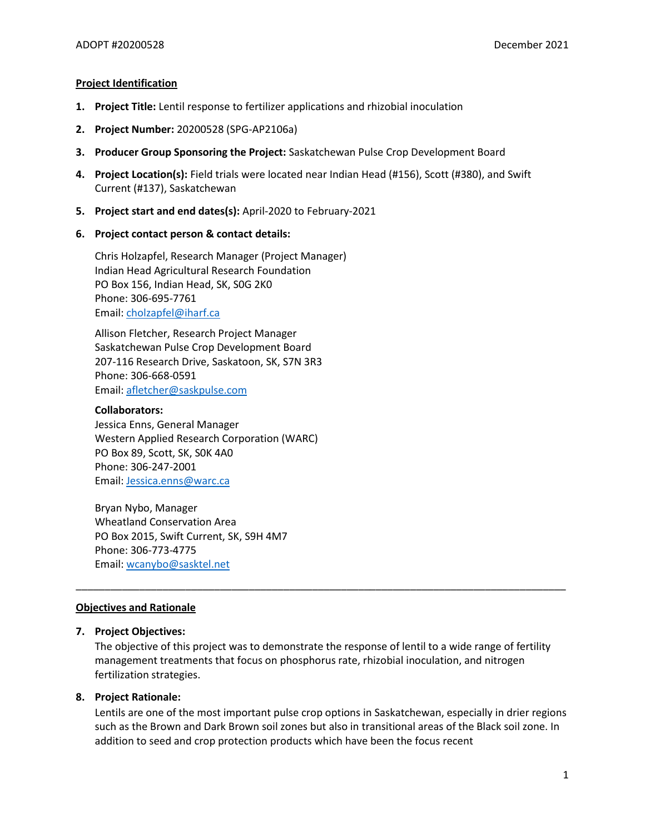#### **Project Identification**

- **1. Project Title:** Lentil response to fertilizer applications and rhizobial inoculation
- **2. Project Number:** 20200528 (SPG-AP2106a)
- **3. Producer Group Sponsoring the Project:** Saskatchewan Pulse Crop Development Board
- **4. Project Location(s):** Field trials were located near Indian Head (#156), Scott (#380), and Swift Current (#137), Saskatchewan
- **5. Project start and end dates(s):** April-2020 to February-2021
- **6. Project contact person & contact details:**

Chris Holzapfel, Research Manager (Project Manager) Indian Head Agricultural Research Foundation PO Box 156, Indian Head, SK, S0G 2K0 Phone: 306-695-7761 Email: [cholzapfel@iharf.ca](mailto:cholzapfel@iharf.ca)

Allison Fletcher, Research Project Manager Saskatchewan Pulse Crop Development Board 207-116 Research Drive, Saskatoon, SK, S7N 3R3 Phone: 306-668-0591 Email: [afletcher@saskpulse.com](mailto:afletcher@saskpulse.com)

#### **Collaborators:**

Jessica Enns, General Manager Western Applied Research Corporation (WARC) PO Box 89, Scott, SK, S0K 4A0 Phone: 306-247-2001 Email: [Jessica.enns@warc.ca](mailto:Jessica.enns@warc.ca)

Bryan Nybo, Manager Wheatland Conservation Area PO Box 2015, Swift Current, SK, S9H 4M7 Phone: 306-773-4775 Email: [wcanybo@sasktel.net](mailto:wcanybo@sasktel.net) 

#### **Objectives and Rationale**

## **7. Project Objectives:**

The objective of this project was to demonstrate the response of lentil to a wide range of fertility management treatments that focus on phosphorus rate, rhizobial inoculation, and nitrogen fertilization strategies.

\_\_\_\_\_\_\_\_\_\_\_\_\_\_\_\_\_\_\_\_\_\_\_\_\_\_\_\_\_\_\_\_\_\_\_\_\_\_\_\_\_\_\_\_\_\_\_\_\_\_\_\_\_\_\_\_\_\_\_\_\_\_\_\_\_\_\_\_\_\_\_\_\_\_\_\_\_\_\_\_\_\_\_\_\_

#### **8. Project Rationale:**

Lentils are one of the most important pulse crop options in Saskatchewan, especially in drier regions such as the Brown and Dark Brown soil zones but also in transitional areas of the Black soil zone. In addition to seed and crop protection products which have been the focus recent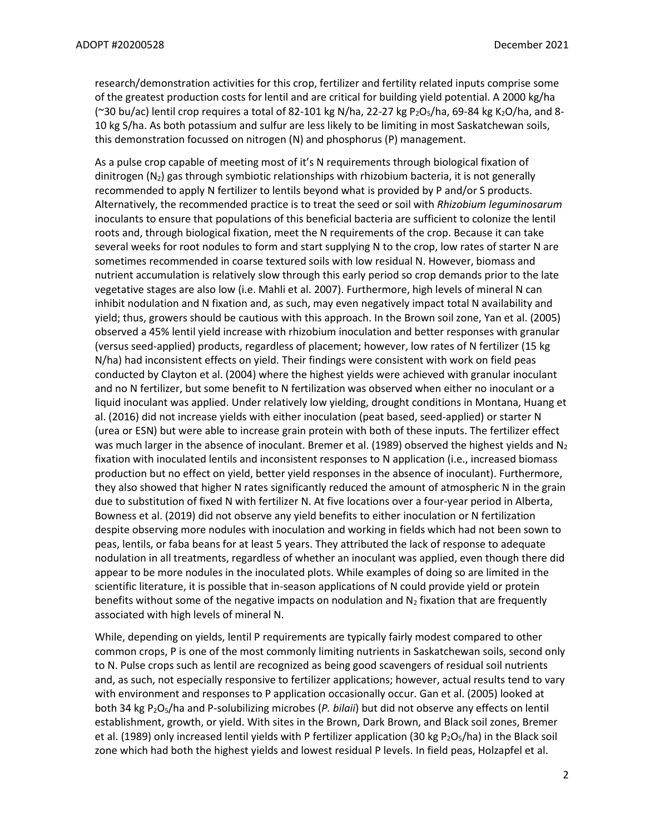research/demonstration activities for this crop, fertilizer and fertility related inputs comprise some of the greatest production costs for lentil and are critical for building yield potential. A 2000 kg/ha (~30 bu/ac) lentil crop requires a total of 82-101 kg N/ha, 22-27 kg P<sub>2</sub>O<sub>5</sub>/ha, 69-84 kg K<sub>2</sub>O/ha, and 8-10 kg S/ha. As both potassium and sulfur are less likely to be limiting in most Saskatchewan soils, this demonstration focussed on nitrogen (N) and phosphorus (P) management.

As a pulse crop capable of meeting most of it's N requirements through biological fixation of dinitrogen  $(N_2)$  gas through symbiotic relationships with rhizobium bacteria, it is not generally recommended to apply N fertilizer to lentils beyond what is provided by P and/or S products. Alternatively, the recommended practice is to treat the seed or soil with *Rhizobium leguminosarum* inoculants to ensure that populations of this beneficial bacteria are sufficient to colonize the lentil roots and, through biological fixation, meet the N requirements of the crop. Because it can take several weeks for root nodules to form and start supplying N to the crop, low rates of starter N are sometimes recommended in coarse textured soils with low residual N. However, biomass and nutrient accumulation is relatively slow through this early period so crop demands prior to the late vegetative stages are also low (i.e. Mahli et al. 2007). Furthermore, high levels of mineral N can inhibit nodulation and N fixation and, as such, may even negatively impact total N availability and yield; thus, growers should be cautious with this approach. In the Brown soil zone, Yan et al. (2005) observed a 45% lentil yield increase with rhizobium inoculation and better responses with granular (versus seed-applied) products, regardless of placement; however, low rates of N fertilizer (15 kg N/ha) had inconsistent effects on yield. Their findings were consistent with work on field peas conducted by Clayton et al. (2004) where the highest yields were achieved with granular inoculant and no N fertilizer, but some benefit to N fertilization was observed when either no inoculant or a liquid inoculant was applied. Under relatively low yielding, drought conditions in Montana, Huang et al. (2016) did not increase yields with either inoculation (peat based, seed-applied) or starter N (urea or ESN) but were able to increase grain protein with both of these inputs. The fertilizer effect was much larger in the absence of inoculant. Bremer et al. (1989) observed the highest yields and  $N_2$ fixation with inoculated lentils and inconsistent responses to N application (i.e., increased biomass production but no effect on yield, better yield responses in the absence of inoculant). Furthermore, they also showed that higher N rates significantly reduced the amount of atmospheric N in the grain due to substitution of fixed N with fertilizer N. At five locations over a four-year period in Alberta, Bowness et al. (2019) did not observe any yield benefits to either inoculation or N fertilization despite observing more nodules with inoculation and working in fields which had not been sown to peas, lentils, or faba beans for at least 5 years. They attributed the lack of response to adequate nodulation in all treatments, regardless of whether an inoculant was applied, even though there did appear to be more nodules in the inoculated plots. While examples of doing so are limited in the scientific literature, it is possible that in-season applications of N could provide yield or protein benefits without some of the negative impacts on nodulation and  $N_2$  fixation that are frequently associated with high levels of mineral N.

While, depending on yields, lentil P requirements are typically fairly modest compared to other common crops, P is one of the most commonly limiting nutrients in Saskatchewan soils, second only to N. Pulse crops such as lentil are recognized as being good scavengers of residual soil nutrients and, as such, not especially responsive to fertilizer applications; however, actual results tend to vary with environment and responses to P application occasionally occur. Gan et al. (2005) looked at both 34 kg P2O5/ha and P-solubilizing microbes (*P. bilaii*) but did not observe any effects on lentil establishment, growth, or yield. With sites in the Brown, Dark Brown, and Black soil zones, Bremer et al. (1989) only increased lentil yields with P fertilizer application (30 kg  $P_2O_5/ha$ ) in the Black soil zone which had both the highest yields and lowest residual P levels. In field peas, Holzapfel et al.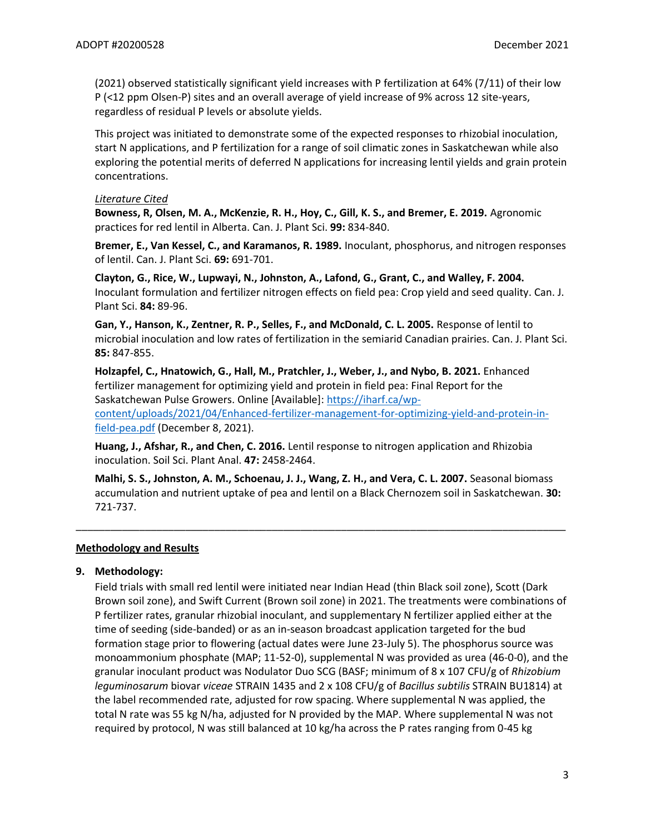(2021) observed statistically significant yield increases with P fertilization at 64% (7/11) of their low P (<12 ppm Olsen-P) sites and an overall average of yield increase of 9% across 12 site-years, regardless of residual P levels or absolute yields.

This project was initiated to demonstrate some of the expected responses to rhizobial inoculation, start N applications, and P fertilization for a range of soil climatic zones in Saskatchewan while also exploring the potential merits of deferred N applications for increasing lentil yields and grain protein concentrations.

#### *Literature Cited*

**Bowness, R, Olsen, M. A., McKenzie, R. H., Hoy, C., Gill, K. S., and Bremer, E. 2019.** Agronomic practices for red lentil in Alberta. Can. J. Plant Sci. **99:** 834-840.

**Bremer, E., Van Kessel, C., and Karamanos, R. 1989.** Inoculant, phosphorus, and nitrogen responses of lentil. Can. J. Plant Sci. **69:** 691-701.

**Clayton, G., Rice, W., Lupwayi, N., Johnston, A., Lafond, G., Grant, C., and Walley, F. 2004.** Inoculant formulation and fertilizer nitrogen effects on field pea: Crop yield and seed quality. Can. J. Plant Sci. **84:** 89-96.

**Gan, Y., Hanson, K., Zentner, R. P., Selles, F., and McDonald, C. L. 2005.** Response of lentil to microbial inoculation and low rates of fertilization in the semiarid Canadian prairies. Can. J. Plant Sci. **85:** 847-855.

**Holzapfel, C., Hnatowich, G., Hall, M., Pratchler, J., Weber, J., and Nybo, B. 2021.** Enhanced fertilizer management for optimizing yield and protein in field pea: Final Report for the Saskatchewan Pulse Growers. Online [Available]: [https://iharf.ca/wp](https://iharf.ca/wp-content/uploads/2021/04/Enhanced-fertilizer-management-for-optimizing-yield-and-protein-in-field-pea.pdf)[content/uploads/2021/04/Enhanced-fertilizer-management-for-optimizing-yield-and-protein-in](https://iharf.ca/wp-content/uploads/2021/04/Enhanced-fertilizer-management-for-optimizing-yield-and-protein-in-field-pea.pdf)[field-pea.pdf](https://iharf.ca/wp-content/uploads/2021/04/Enhanced-fertilizer-management-for-optimizing-yield-and-protein-in-field-pea.pdf) (December 8, 2021).

**Huang, J., Afshar, R., and Chen, C. 2016.** Lentil response to nitrogen application and Rhizobia inoculation. Soil Sci. Plant Anal. **47:** 2458-2464.

**Malhi, S. S., Johnston, A. M., Schoenau, J. J., Wang, Z. H., and Vera, C. L. 2007.** Seasonal biomass accumulation and nutrient uptake of pea and lentil on a Black Chernozem soil in Saskatchewan. **30:** 721-737.

\_\_\_\_\_\_\_\_\_\_\_\_\_\_\_\_\_\_\_\_\_\_\_\_\_\_\_\_\_\_\_\_\_\_\_\_\_\_\_\_\_\_\_\_\_\_\_\_\_\_\_\_\_\_\_\_\_\_\_\_\_\_\_\_\_\_\_\_\_\_\_\_\_\_\_\_\_\_\_\_\_\_\_\_\_

#### **Methodology and Results**

## **9. Methodology:**

Field trials with small red lentil were initiated near Indian Head (thin Black soil zone), Scott (Dark Brown soil zone), and Swift Current (Brown soil zone) in 2021. The treatments were combinations of P fertilizer rates, granular rhizobial inoculant, and supplementary N fertilizer applied either at the time of seeding (side-banded) or as an in-season broadcast application targeted for the bud formation stage prior to flowering (actual dates were June 23-July 5). The phosphorus source was monoammonium phosphate (MAP; 11-52-0), supplemental N was provided as urea (46-0-0), and the granular inoculant product was Nodulator Duo SCG (BASF; minimum of 8 x 107 CFU/g of *Rhizobium leguminosarum* biovar *viceae* STRAIN 1435 and 2 x 108 CFU/g of *Bacillus subtilis* STRAIN BU1814) at the label recommended rate, adjusted for row spacing. Where supplemental N was applied, the total N rate was 55 kg N/ha, adjusted for N provided by the MAP. Where supplemental N was not required by protocol, N was still balanced at 10 kg/ha across the P rates ranging from 0-45 kg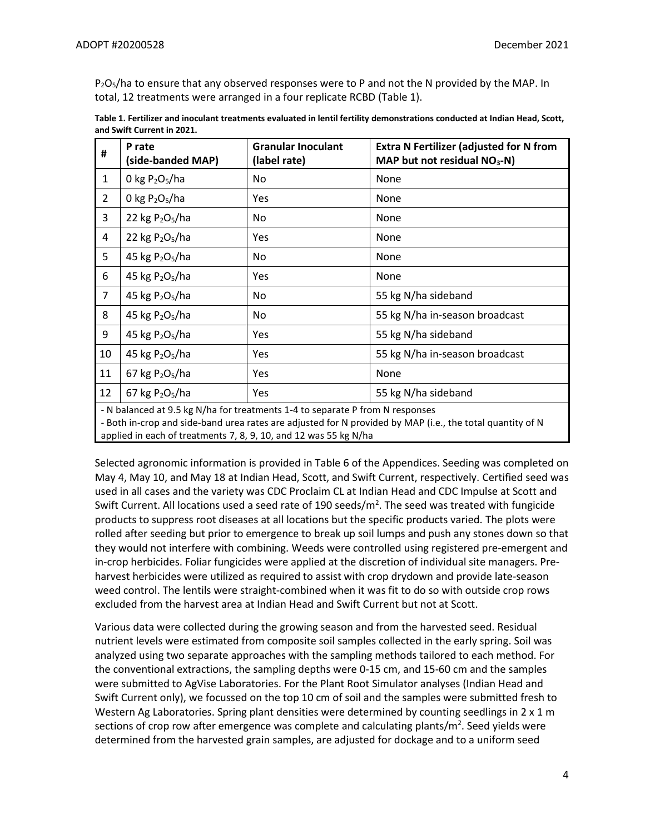$P_2O_5/h$  to ensure that any observed responses were to P and not the N provided by the MAP. In total, 12 treatments were arranged in a four replicate RCBD (Table 1).

| #              | P rate<br>(side-banded MAP)             | <b>Granular Inoculant</b><br>(label rate) | <b>Extra N Fertilizer (adjusted for N from</b><br>MAP but not residual NO <sub>3</sub> -N) |
|----------------|-----------------------------------------|-------------------------------------------|--------------------------------------------------------------------------------------------|
| $\mathbf{1}$   | 0 kg $P_2O_5/ha$                        | No                                        | None                                                                                       |
| $\overline{2}$ | 0 kg $P_2O_5/ha$                        | Yes                                       | None                                                                                       |
| 3              | 22 kg $P_2O_5/ha$                       | No                                        | None                                                                                       |
| 4              | 22 kg $P_2O_5/ha$                       | Yes                                       | None                                                                                       |
| 5              | 45 kg P <sub>2</sub> O <sub>5</sub> /ha | No                                        | None                                                                                       |
| 6              | 45 kg $P_2O_5/ha$                       | Yes                                       | None                                                                                       |
| $\overline{7}$ | 45 kg $P2O5/ha$                         | No                                        | 55 kg N/ha sideband                                                                        |
| 8              | 45 kg $P2O5/ha$                         | No                                        | 55 kg N/ha in-season broadcast                                                             |
| 9              | 45 kg $P_2O_5/ha$                       | Yes                                       | 55 kg N/ha sideband                                                                        |
| 10             | 45 kg $P_2O_5/ha$                       | Yes                                       | 55 kg N/ha in-season broadcast                                                             |
| 11             | 67 kg $P_2O_5/ha$                       | Yes                                       | None                                                                                       |
| 12             | 67 kg $P_2O_5/ha$                       | Yes                                       | 55 kg N/ha sideband                                                                        |

| Table 1. Fertilizer and inoculant treatments evaluated in lentil fertility demonstrations conducted at Indian Head, Scott, |
|----------------------------------------------------------------------------------------------------------------------------|
| and Swift Current in 2021.                                                                                                 |

- N balanced at 9.5 kg N/ha for treatments 1-4 to separate P from N responses

- Both in-crop and side-band urea rates are adjusted for N provided by MAP (i.e., the total quantity of N applied in each of treatments 7, 8, 9, 10, and 12 was 55 kg N/ha

Selected agronomic information is provided in Table 6 of the Appendices. Seeding was completed on May 4, May 10, and May 18 at Indian Head, Scott, and Swift Current, respectively. Certified seed was used in all cases and the variety was CDC Proclaim CL at Indian Head and CDC Impulse at Scott and Swift Current. All locations used a seed rate of 190 seeds/m<sup>2</sup>. The seed was treated with fungicide products to suppress root diseases at all locations but the specific products varied. The plots were rolled after seeding but prior to emergence to break up soil lumps and push any stones down so that they would not interfere with combining. Weeds were controlled using registered pre-emergent and in-crop herbicides. Foliar fungicides were applied at the discretion of individual site managers. Preharvest herbicides were utilized as required to assist with crop drydown and provide late-season weed control. The lentils were straight-combined when it was fit to do so with outside crop rows excluded from the harvest area at Indian Head and Swift Current but not at Scott.

Various data were collected during the growing season and from the harvested seed. Residual nutrient levels were estimated from composite soil samples collected in the early spring. Soil was analyzed using two separate approaches with the sampling methods tailored to each method. For the conventional extractions, the sampling depths were 0-15 cm, and 15-60 cm and the samples were submitted to AgVise Laboratories. For the Plant Root Simulator analyses (Indian Head and Swift Current only), we focussed on the top 10 cm of soil and the samples were submitted fresh to Western Ag Laboratories. Spring plant densities were determined by counting seedlings in  $2 \times 1$  m sections of crop row after emergence was complete and calculating plants/m<sup>2</sup>. Seed yields were determined from the harvested grain samples, are adjusted for dockage and to a uniform seed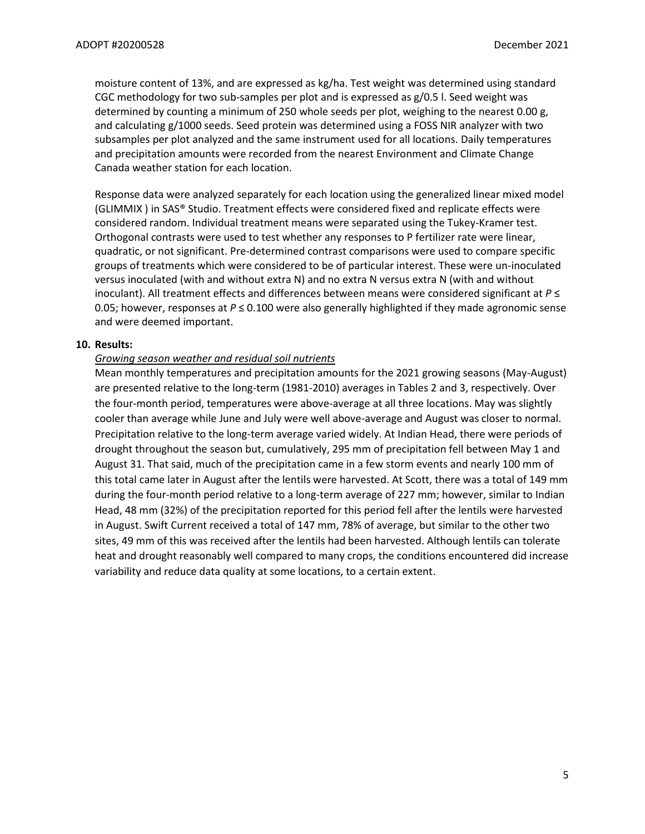moisture content of 13%, and are expressed as kg/ha. Test weight was determined using standard CGC methodology for two sub-samples per plot and is expressed as g/0.5 l. Seed weight was determined by counting a minimum of 250 whole seeds per plot, weighing to the nearest 0.00 g, and calculating g/1000 seeds. Seed protein was determined using a FOSS NIR analyzer with two subsamples per plot analyzed and the same instrument used for all locations. Daily temperatures and precipitation amounts were recorded from the nearest Environment and Climate Change Canada weather station for each location.

Response data were analyzed separately for each location using the generalized linear mixed model (GLIMMIX ) in SAS® Studio. Treatment effects were considered fixed and replicate effects were considered random. Individual treatment means were separated using the Tukey-Kramer test. Orthogonal contrasts were used to test whether any responses to P fertilizer rate were linear, quadratic, or not significant. Pre-determined contrast comparisons were used to compare specific groups of treatments which were considered to be of particular interest. These were un-inoculated versus inoculated (with and without extra N) and no extra N versus extra N (with and without inoculant). All treatment effects and differences between means were considered significant at *P* ≤ 0.05; however, responses at *P* ≤ 0.100 were also generally highlighted if they made agronomic sense and were deemed important.

#### **10. Results:**

## *Growing season weather and residual soil nutrients*

Mean monthly temperatures and precipitation amounts for the 2021 growing seasons (May-August) are presented relative to the long-term (1981-2010) averages in Tables 2 and 3, respectively. Over the four-month period, temperatures were above-average at all three locations. May was slightly cooler than average while June and July were well above-average and August was closer to normal. Precipitation relative to the long-term average varied widely. At Indian Head, there were periods of drought throughout the season but, cumulatively, 295 mm of precipitation fell between May 1 and August 31. That said, much of the precipitation came in a few storm events and nearly 100 mm of this total came later in August after the lentils were harvested. At Scott, there was a total of 149 mm during the four-month period relative to a long-term average of 227 mm; however, similar to Indian Head, 48 mm (32%) of the precipitation reported for this period fell after the lentils were harvested in August. Swift Current received a total of 147 mm, 78% of average, but similar to the other two sites, 49 mm of this was received after the lentils had been harvested. Although lentils can tolerate heat and drought reasonably well compared to many crops, the conditions encountered did increase variability and reduce data quality at some locations, to a certain extent.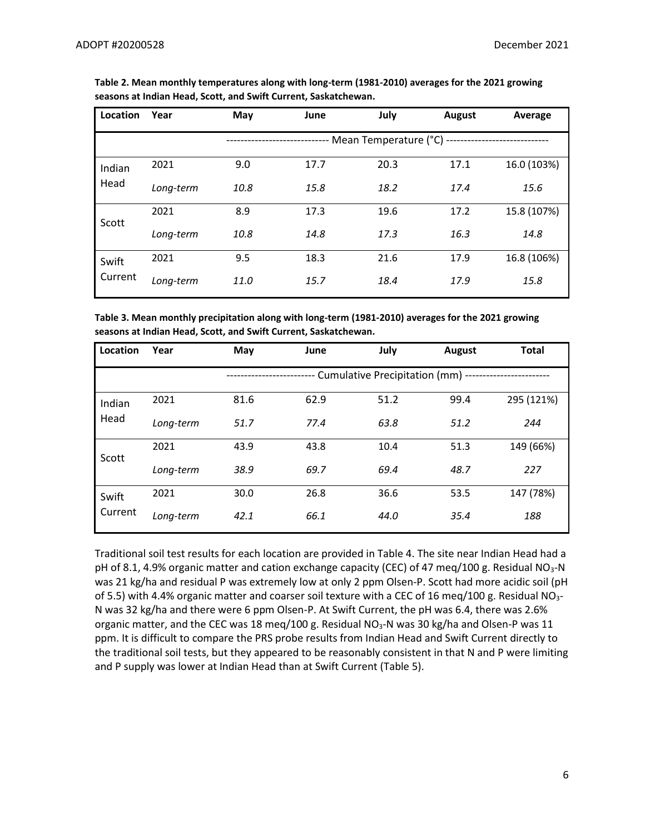| Location | Year      | May  | June | July                       | <b>August</b> | Average     |
|----------|-----------|------|------|----------------------------|---------------|-------------|
|          |           |      |      | - Mean Temperature (°C) -- |               |             |
| Indian   | 2021      | 9.0  | 17.7 | 20.3                       | 17.1          | 16.0 (103%) |
| Head     | Long-term | 10.8 | 15.8 | 18.2                       | 17.4          | 15.6        |
| Scott    | 2021      | 8.9  | 17.3 | 19.6                       | 17.2          | 15.8 (107%) |
|          | Long-term | 10.8 | 14.8 | 17.3                       | 16.3          | 14.8        |
| Swift    | 2021      | 9.5  | 18.3 | 21.6                       | 17.9          | 16.8 (106%) |
| Current  | Long-term | 11.0 | 15.7 | 18.4                       | 17.9          | 15.8        |

**Table 2. Mean monthly temperatures along with long-term (1981-2010) averages for the 2021 growing seasons at Indian Head, Scott, and Swift Current, Saskatchewan.**

**Table 3. Mean monthly precipitation along with long-term (1981-2010) averages for the 2021 growing seasons at Indian Head, Scott, and Swift Current, Saskatchewan.**

| Location | Year      | May  | June | July                             | <b>August</b> | <b>Total</b> |
|----------|-----------|------|------|----------------------------------|---------------|--------------|
|          |           |      |      | Cumulative Precipitation (mm) -- |               |              |
| Indian   | 2021      | 81.6 | 62.9 | 51.2                             | 99.4          | 295 (121%)   |
| Head     | Long-term | 51.7 | 77.4 | 63.8                             | 51.2          | 244          |
| Scott    | 2021      | 43.9 | 43.8 | 10.4                             | 51.3          | 149 (66%)    |
|          | Long-term | 38.9 | 69.7 | 69.4                             | 48.7          | 227          |
| Swift    | 2021      | 30.0 | 26.8 | 36.6                             | 53.5          | 147 (78%)    |
| Current  | Long-term | 42.1 | 66.1 | 44.0                             | 35.4          | 188          |

Traditional soil test results for each location are provided in Table 4. The site near Indian Head had a pH of 8.1, 4.9% organic matter and cation exchange capacity (CEC) of 47 meq/100 g. Residual NO<sub>3</sub>-N was 21 kg/ha and residual P was extremely low at only 2 ppm Olsen-P. Scott had more acidic soil (pH of 5.5) with 4.4% organic matter and coarser soil texture with a CEC of 16 meq/100 g. Residual NO<sub>3</sub>-N was 32 kg/ha and there were 6 ppm Olsen-P. At Swift Current, the pH was 6.4, there was 2.6% organic matter, and the CEC was 18 meq/100 g. Residual NO<sub>3</sub>-N was 30 kg/ha and Olsen-P was 11 ppm. It is difficult to compare the PRS probe results from Indian Head and Swift Current directly to the traditional soil tests, but they appeared to be reasonably consistent in that N and P were limiting and P supply was lower at Indian Head than at Swift Current (Table 5).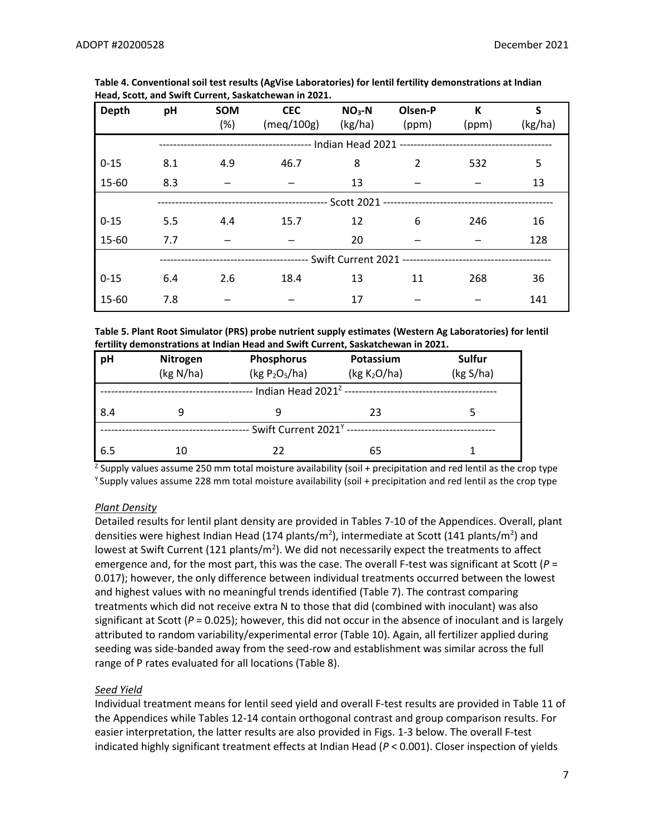| Depth    | pH  | <b>SOM</b><br>(%) | <b>CEC</b><br>(meq/100g) | $NO3-N$<br>(kg/ha) | Olsen-P<br>(ppm) | K<br>(ppm) | $\mathsf{s}$<br>(kg/ha) |
|----------|-----|-------------------|--------------------------|--------------------|------------------|------------|-------------------------|
|          |     |                   |                          |                    |                  |            |                         |
| $0 - 15$ | 8.1 | 4.9               | 46.7                     | 8                  | $\mathcal{P}$    | 532        | 5                       |
| 15-60    | 8.3 |                   |                          | 13                 |                  |            | 13                      |
|          |     |                   |                          |                    |                  |            |                         |
| $0 - 15$ | 5.5 | 4.4               | 15.7                     | 12                 | 6                | 246        | 16                      |
| 15-60    | 7.7 |                   |                          | 20                 |                  |            | 128                     |
|          |     |                   |                          |                    |                  |            |                         |
| $0 - 15$ | 6.4 | 2.6               | 18.4                     | 13                 | 11               | 268        | 36                      |
| 15-60    | 7.8 |                   |                          | 17                 |                  |            | 141                     |

**Table 4. Conventional soil test results (AgVise Laboratories) for lentil fertility demonstrations at Indian Head, Scott, and Swift Current, Saskatchewan in 2021.**

**Table 5. Plant Root Simulator (PRS) probe nutrient supply estimates (Western Ag Laboratories) for lentil fertility demonstrations at Indian Head and Swift Current, Saskatchewan in 2021.**

| pH                                     | Nitrogen  | <b>Phosphorus</b> | Potassium                                                     | Sulfur    |  |  |
|----------------------------------------|-----------|-------------------|---------------------------------------------------------------|-----------|--|--|
|                                        | (kg N/ha) | (kg $P_2O_5/ha$ ) | (kg K <sub>2</sub> O/ha)                                      | (kg S/ha) |  |  |
|                                        |           |                   | - Indian Head 2021 <sup>z</sup> ----------------------------- |           |  |  |
| 8.4                                    | g         | 9                 | 23                                                            |           |  |  |
| Swift Current 2021 <sup>Y</sup> ------ |           |                   |                                                               |           |  |  |
| 6.5                                    | 10        | 22                | 65                                                            |           |  |  |

<sup>z</sup> Supply values assume 250 mm total moisture availability (soil + precipitation and red lentil as the crop type <sup>Y</sup> Supply values assume 228 mm total moisture availability (soil + precipitation and red lentil as the crop type

## *Plant Density*

Detailed results for lentil plant density are provided in Tables 7-10 of the Appendices. Overall, plant densities were highest Indian Head (174 plants/m<sup>2</sup>), intermediate at Scott (141 plants/m<sup>2</sup>) and lowest at Swift Current (121 plants/m<sup>2</sup>). We did not necessarily expect the treatments to affect emergence and, for the most part, this was the case. The overall F-test was significant at Scott (*P* = 0.017); however, the only difference between individual treatments occurred between the lowest and highest values with no meaningful trends identified (Table 7). The contrast comparing treatments which did not receive extra N to those that did (combined with inoculant) was also significant at Scott (*P* = 0.025); however, this did not occur in the absence of inoculant and is largely attributed to random variability/experimental error (Table 10). Again, all fertilizer applied during seeding was side-banded away from the seed-row and establishment was similar across the full range of P rates evaluated for all locations (Table 8).

## *Seed Yield*

Individual treatment means for lentil seed yield and overall F-test results are provided in Table 11 of the Appendices while Tables 12-14 contain orthogonal contrast and group comparison results. For easier interpretation, the latter results are also provided in Figs. 1-3 below. The overall F-test indicated highly significant treatment effects at Indian Head (*P* < 0.001). Closer inspection of yields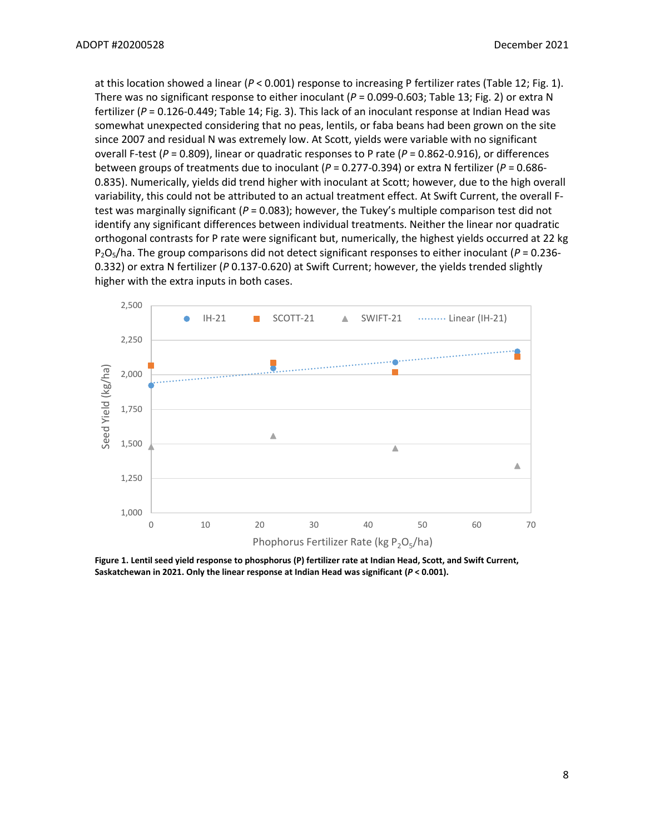at this location showed a linear (*P* < 0.001) response to increasing P fertilizer rates (Table 12; Fig. 1). There was no significant response to either inoculant (*P* = 0.099-0.603; Table 13; Fig. 2) or extra N fertilizer (*P* = 0.126-0.449; Table 14; Fig. 3). This lack of an inoculant response at Indian Head was somewhat unexpected considering that no peas, lentils, or faba beans had been grown on the site since 2007 and residual N was extremely low. At Scott, yields were variable with no significant overall F-test (*P* = 0.809), linear or quadratic responses to P rate (*P* = 0.862-0.916), or differences between groups of treatments due to inoculant (*P* = 0.277-0.394) or extra N fertilizer (*P* = 0.686- 0.835). Numerically, yields did trend higher with inoculant at Scott; however, due to the high overall variability, this could not be attributed to an actual treatment effect. At Swift Current, the overall Ftest was marginally significant (*P* = 0.083); however, the Tukey's multiple comparison test did not identify any significant differences between individual treatments. Neither the linear nor quadratic orthogonal contrasts for P rate were significant but, numerically, the highest yields occurred at 22 kg P2O5/ha. The group comparisons did not detect significant responses to either inoculant (*P* = 0.236- 0.332) or extra N fertilizer (*P* 0.137-0.620) at Swift Current; however, the yields trended slightly higher with the extra inputs in both cases.



**Figure 1. Lentil seed yield response to phosphorus (P) fertilizer rate at Indian Head, Scott, and Swift Current, Saskatchewan in 2021. Only the linear response at Indian Head was significant (***P* **< 0.001).**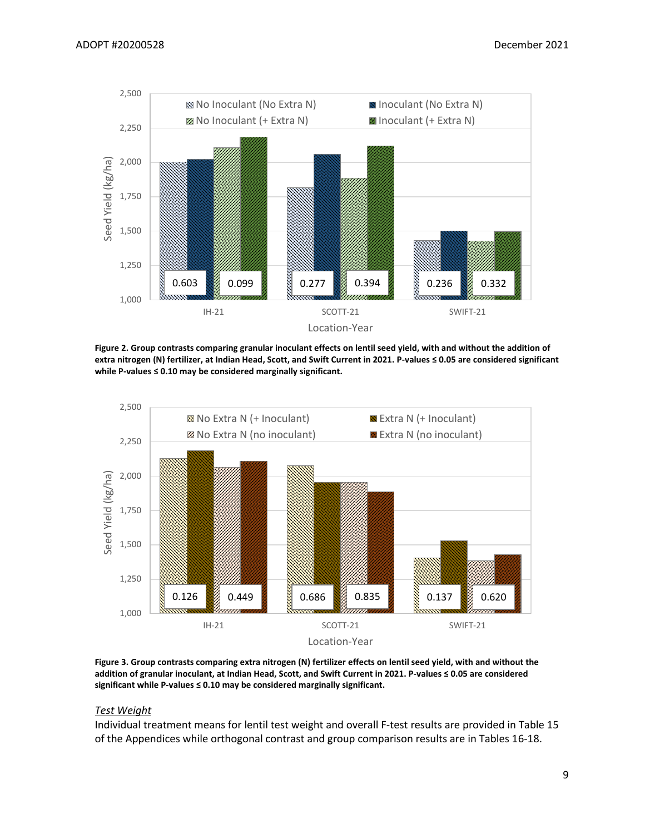

**Figure 2. Group contrasts comparing granular inoculant effects on lentil seed yield, with and without the addition of extra nitrogen (N) fertilizer, at Indian Head, Scott, and Swift Current in 2021. P-values ≤ 0.05 are considered significant while P-values ≤ 0.10 may be considered marginally significant.**



**Figure 3. Group contrasts comparing extra nitrogen (N) fertilizer effects on lentil seed yield, with and without the addition of granular inoculant, at Indian Head, Scott, and Swift Current in 2021. P-values ≤ 0.05 are considered significant while P-values ≤ 0.10 may be considered marginally significant.**

#### *Test Weight*

Individual treatment means for lentil test weight and overall F-test results are provided in Table 15 of the Appendices while orthogonal contrast and group comparison results are in Tables 16-18.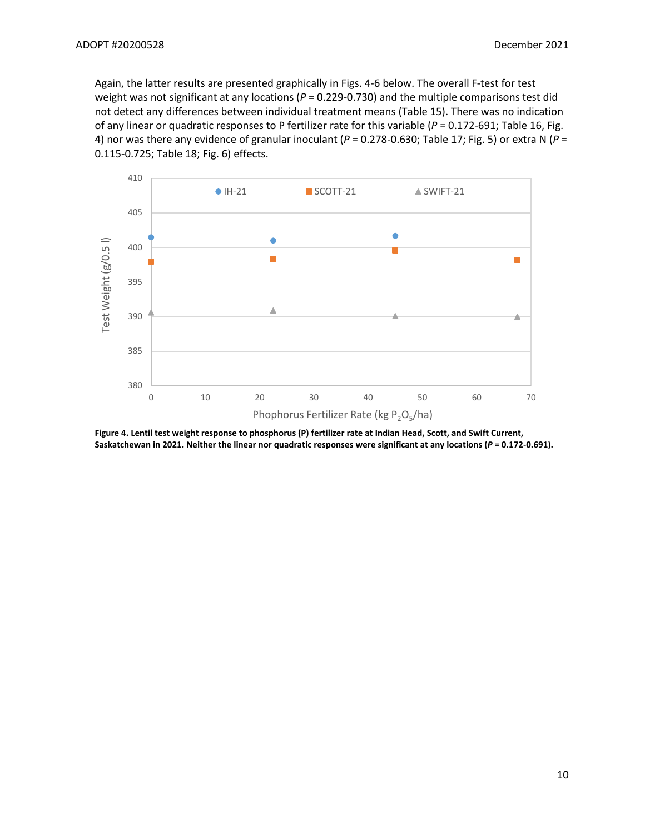Again, the latter results are presented graphically in Figs. 4-6 below. The overall F-test for test weight was not significant at any locations (P = 0.229-0.730) and the multiple comparisons test did not detect any differences between individual treatment means (Table 15). There was no indication of any linear or quadratic responses to P fertilizer rate for this variable (*P* = 0.172-691; Table 16, Fig. 4) nor was there any evidence of granular inoculant (*P* = 0.278-0.630; Table 17; Fig. 5) or extra N (*P* = 0.115-0.725; Table 18; Fig. 6) effects.



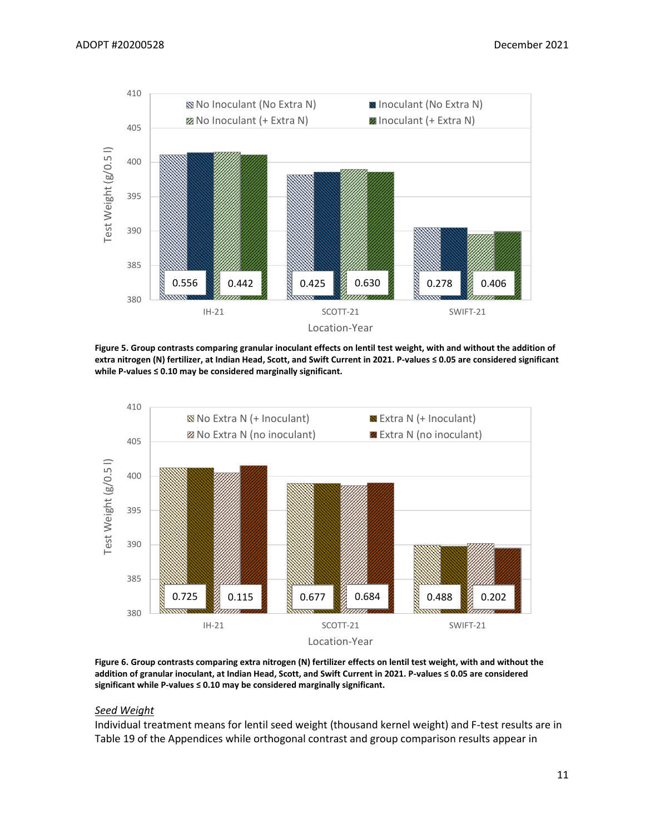

**Figure 5. Group contrasts comparing granular inoculant effects on lentil test weight, with and without the addition of extra nitrogen (N) fertilizer, at Indian Head, Scott, and Swift Current in 2021. P-values ≤ 0.05 are considered significant while P-values ≤ 0.10 may be considered marginally significant.**



**Figure 6. Group contrasts comparing extra nitrogen (N) fertilizer effects on lentil test weight, with and without the addition of granular inoculant, at Indian Head, Scott, and Swift Current in 2021. P-values ≤ 0.05 are considered significant while P-values ≤ 0.10 may be considered marginally significant.**

#### *Seed Weight*

Individual treatment means for lentil seed weight (thousand kernel weight) and F-test results are in Table 19 of the Appendices while orthogonal contrast and group comparison results appear in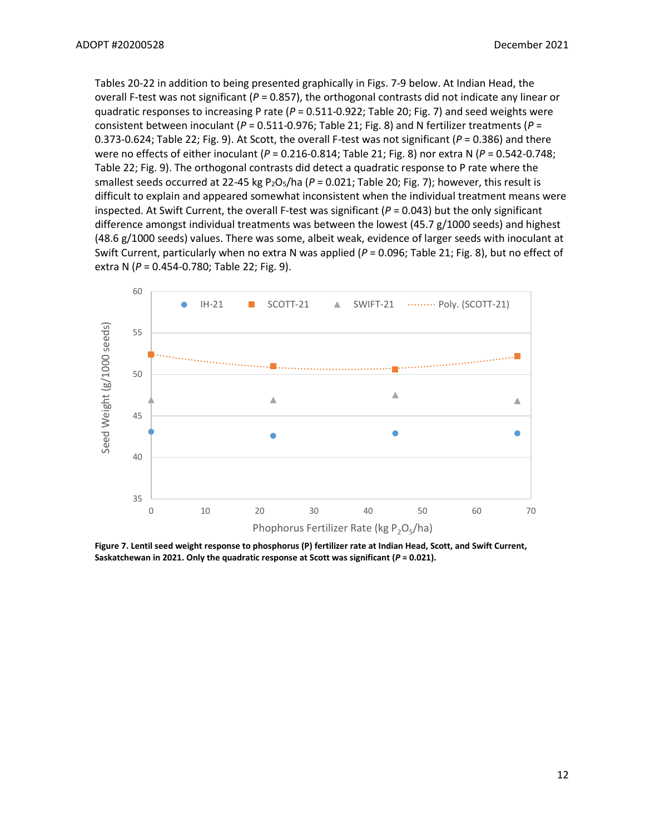Tables 20-22 in addition to being presented graphically in Figs. 7-9 below. At Indian Head, the overall F-test was not significant (*P* = 0.857), the orthogonal contrasts did not indicate any linear or quadratic responses to increasing P rate (*P* = 0.511-0.922; Table 20; Fig. 7) and seed weights were consistent between inoculant (*P* = 0.511-0.976; Table 21; Fig. 8) and N fertilizer treatments (*P* = 0.373-0.624; Table 22; Fig. 9). At Scott, the overall F-test was not significant ( $P = 0.386$ ) and there were no effects of either inoculant (*P* = 0.216-0.814; Table 21; Fig. 8) nor extra N (*P* = 0.542-0.748; Table 22; Fig. 9). The orthogonal contrasts did detect a quadratic response to P rate where the smallest seeds occurred at 22-45 kg P<sub>2</sub>O<sub>5</sub>/ha (P = 0.021; Table 20; Fig. 7); however, this result is difficult to explain and appeared somewhat inconsistent when the individual treatment means were inspected. At Swift Current, the overall F-test was significant (*P* = 0.043) but the only significant difference amongst individual treatments was between the lowest (45.7 g/1000 seeds) and highest (48.6 g/1000 seeds) values. There was some, albeit weak, evidence of larger seeds with inoculant at Swift Current, particularly when no extra N was applied (*P* = 0.096; Table 21; Fig. 8), but no effect of extra N (*P* = 0.454-0.780; Table 22; Fig. 9).



**Figure 7. Lentil seed weight response to phosphorus (P) fertilizer rate at Indian Head, Scott, and Swift Current, Saskatchewan in 2021. Only the quadratic response at Scott was significant (***P* **= 0.021).**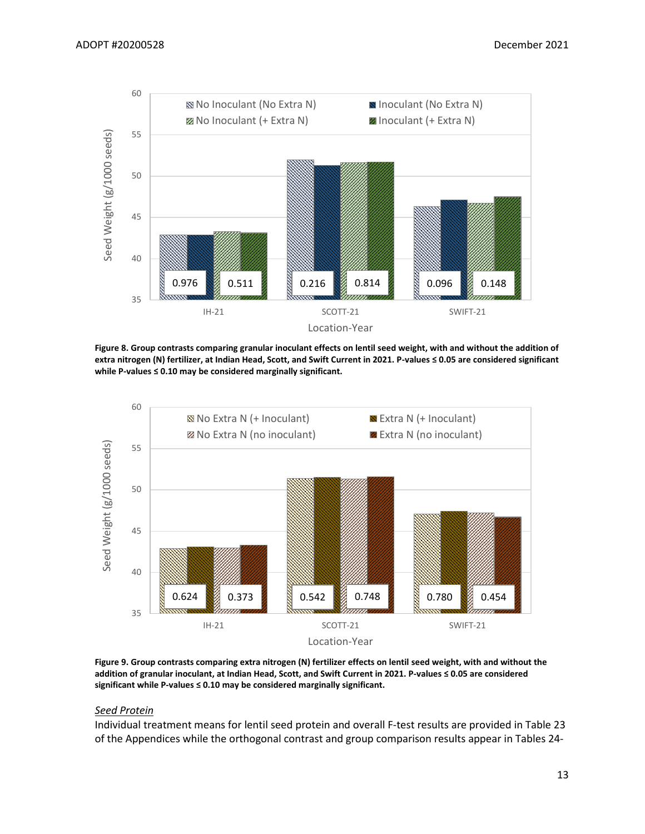

**Figure 8. Group contrasts comparing granular inoculant effects on lentil seed weight, with and without the addition of extra nitrogen (N) fertilizer, at Indian Head, Scott, and Swift Current in 2021. P-values ≤ 0.05 are considered significant while P-values ≤ 0.10 may be considered marginally significant.**



**Figure 9. Group contrasts comparing extra nitrogen (N) fertilizer effects on lentil seed weight, with and without the addition of granular inoculant, at Indian Head, Scott, and Swift Current in 2021. P-values ≤ 0.05 are considered significant while P-values ≤ 0.10 may be considered marginally significant.**

#### *Seed Protein*

Individual treatment means for lentil seed protein and overall F-test results are provided in Table 23 of the Appendices while the orthogonal contrast and group comparison results appear in Tables 24-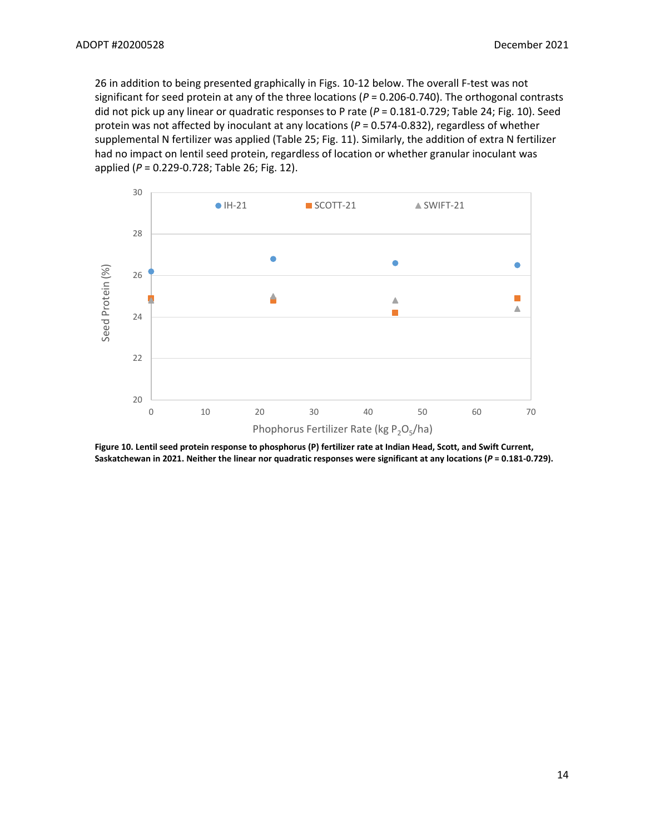26 in addition to being presented graphically in Figs. 10-12 below. The overall F-test was not significant for seed protein at any of the three locations (*P* = 0.206-0.740). The orthogonal contrasts did not pick up any linear or quadratic responses to P rate (*P* = 0.181-0.729; Table 24; Fig. 10). Seed protein was not affected by inoculant at any locations (*P* = 0.574-0.832), regardless of whether supplemental N fertilizer was applied (Table 25; Fig. 11). Similarly, the addition of extra N fertilizer had no impact on lentil seed protein, regardless of location or whether granular inoculant was applied (*P* = 0.229-0.728; Table 26; Fig. 12).



**Figure 10. Lentil seed protein response to phosphorus (P) fertilizer rate at Indian Head, Scott, and Swift Current, Saskatchewan in 2021. Neither the linear nor quadratic responses were significant at any locations (***P* **= 0.181-0.729).**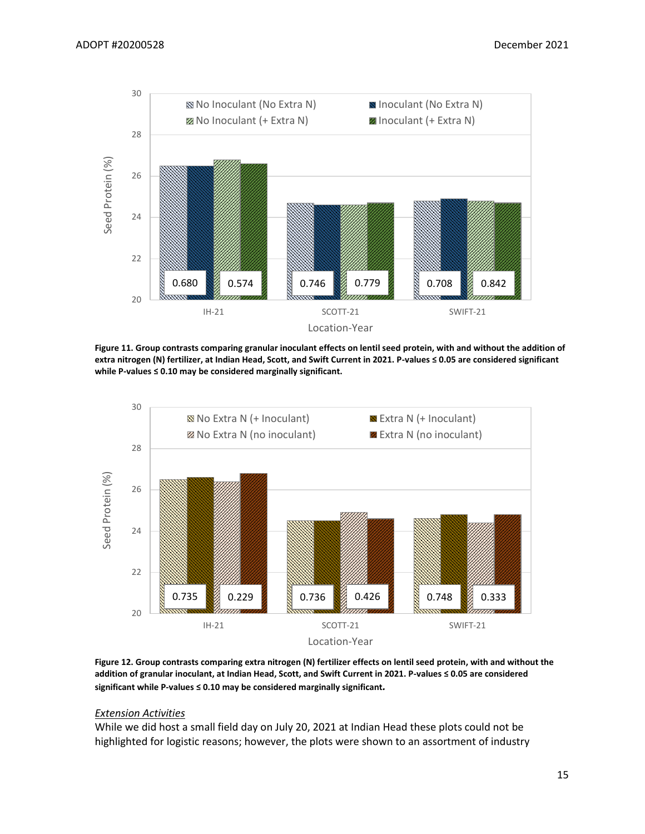

**Figure 11. Group contrasts comparing granular inoculant effects on lentil seed protein, with and without the addition of extra nitrogen (N) fertilizer, at Indian Head, Scott, and Swift Current in 2021. P-values ≤ 0.05 are considered significant while P-values ≤ 0.10 may be considered marginally significant.**



**Figure 12. Group contrasts comparing extra nitrogen (N) fertilizer effects on lentil seed protein, with and without the addition of granular inoculant, at Indian Head, Scott, and Swift Current in 2021. P-values ≤ 0.05 are considered significant while P-values ≤ 0.10 may be considered marginally significant***.*

#### *Extension Activities*

While we did host a small field day on July 20, 2021 at Indian Head these plots could not be highlighted for logistic reasons; however, the plots were shown to an assortment of industry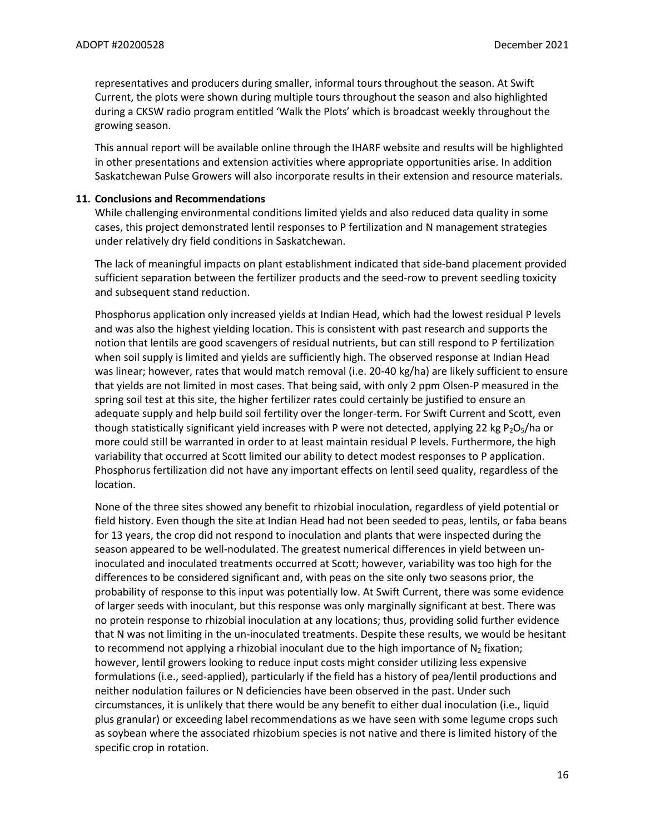representatives and producers during smaller, informal tours throughout the season. At Swift Current, the plots were shown during multiple tours throughout the season and also highlighted during a CKSW radio program entitled 'Walk the Plots' which is broadcast weekly throughout the growing season.

This annual report will be available online through the IHARF website and results will be highlighted in other presentations and extension activities where appropriate opportunities arise. In addition Saskatchewan Pulse Growers will also incorporate results in their extension and resource materials.

#### **11. Conclusions and Recommendations**

While challenging environmental conditions limited yields and also reduced data quality in some cases, this project demonstrated lentil responses to P fertilization and N management strategies under relatively dry field conditions in Saskatchewan.

The lack of meaningful impacts on plant establishment indicated that side-band placement provided sufficient separation between the fertilizer products and the seed-row to prevent seedling toxicity and subsequent stand reduction.

Phosphorus application only increased yields at Indian Head, which had the lowest residual P levels and was also the highest yielding location. This is consistent with past research and supports the notion that lentils are good scavengers of residual nutrients, but can still respond to P fertilization when soil supply is limited and yields are sufficiently high. The observed response at Indian Head was linear; however, rates that would match removal (i.e. 20-40 kg/ha) are likely sufficient to ensure that yields are not limited in most cases. That being said, with only 2 ppm Olsen-P measured in the spring soil test at this site, the higher fertilizer rates could certainly be justified to ensure an adequate supply and help build soil fertility over the longer-term. For Swift Current and Scott, even though statistically significant yield increases with P were not detected, applying 22 kg P<sub>2</sub>O<sub>5</sub>/ha or more could still be warranted in order to at least maintain residual P levels. Furthermore, the high variability that occurred at Scott limited our ability to detect modest responses to P application. Phosphorus fertilization did not have any important effects on lentil seed quality, regardless of the location.

None of the three sites showed any benefit to rhizobial inoculation, regardless of yield potential or field history. Even though the site at Indian Head had not been seeded to peas, lentils, or faba beans for 13 years, the crop did not respond to inoculation and plants that were inspected during the season appeared to be well-nodulated. The greatest numerical differences in yield between uninoculated and inoculated treatments occurred at Scott; however, variability was too high for the differences to be considered significant and, with peas on the site only two seasons prior, the probability of response to this input was potentially low. At Swift Current, there was some evidence of larger seeds with inoculant, but this response was only marginally significant at best. There was no protein response to rhizobial inoculation at any locations; thus, providing solid further evidence that N was not limiting in the un-inoculated treatments. Despite these results, we would be hesitant to recommend not applying a rhizobial inoculant due to the high importance of  $N_2$  fixation; however, lentil growers looking to reduce input costs might consider utilizing less expensive formulations (i.e., seed-applied), particularly if the field has a history of pea/lentil productions and neither nodulation failures or N deficiencies have been observed in the past. Under such circumstances, it is unlikely that there would be any benefit to either dual inoculation (i.e., liquid plus granular) or exceeding label recommendations as we have seen with some legume crops such as soybean where the associated rhizobium species is not native and there is limited history of the specific crop in rotation.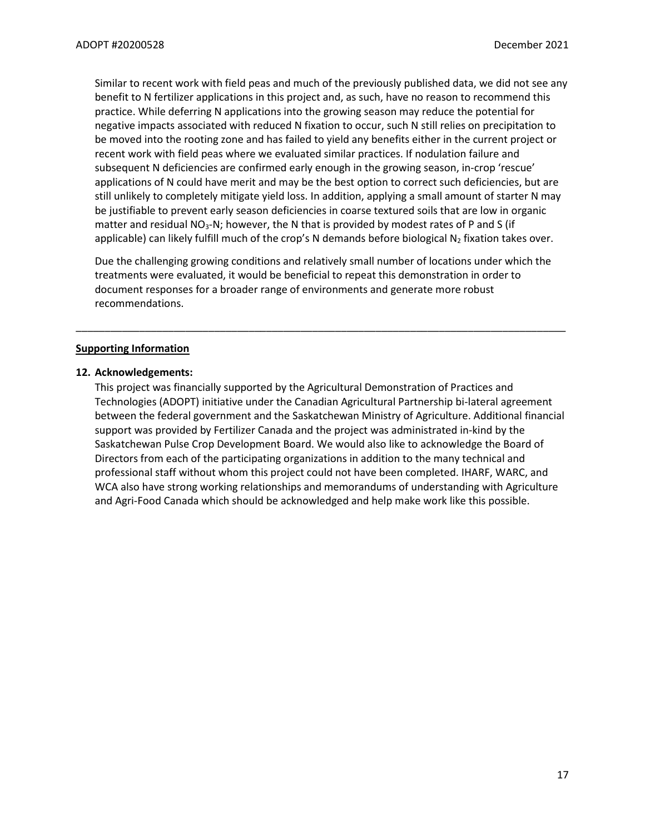Similar to recent work with field peas and much of the previously published data, we did not see any benefit to N fertilizer applications in this project and, as such, have no reason to recommend this practice. While deferring N applications into the growing season may reduce the potential for negative impacts associated with reduced N fixation to occur, such N still relies on precipitation to be moved into the rooting zone and has failed to yield any benefits either in the current project or recent work with field peas where we evaluated similar practices. If nodulation failure and subsequent N deficiencies are confirmed early enough in the growing season, in-crop 'rescue' applications of N could have merit and may be the best option to correct such deficiencies, but are still unlikely to completely mitigate yield loss. In addition, applying a small amount of starter N may be justifiable to prevent early season deficiencies in coarse textured soils that are low in organic matter and residual  $NO<sub>3</sub>-N$ ; however, the N that is provided by modest rates of P and S (if applicable) can likely fulfill much of the crop's N demands before biological  $N_2$  fixation takes over.

Due the challenging growing conditions and relatively small number of locations under which the treatments were evaluated, it would be beneficial to repeat this demonstration in order to document responses for a broader range of environments and generate more robust recommendations.

\_\_\_\_\_\_\_\_\_\_\_\_\_\_\_\_\_\_\_\_\_\_\_\_\_\_\_\_\_\_\_\_\_\_\_\_\_\_\_\_\_\_\_\_\_\_\_\_\_\_\_\_\_\_\_\_\_\_\_\_\_\_\_\_\_\_\_\_\_\_\_\_\_\_\_\_\_\_\_\_\_\_\_\_\_

#### **Supporting Information**

#### **12. Acknowledgements:**

This project was financially supported by the Agricultural Demonstration of Practices and Technologies (ADOPT) initiative under the Canadian Agricultural Partnership bi-lateral agreement between the federal government and the Saskatchewan Ministry of Agriculture. Additional financial support was provided by Fertilizer Canada and the project was administrated in-kind by the Saskatchewan Pulse Crop Development Board. We would also like to acknowledge the Board of Directors from each of the participating organizations in addition to the many technical and professional staff without whom this project could not have been completed. IHARF, WARC, and WCA also have strong working relationships and memorandums of understanding with Agriculture and Agri-Food Canada which should be acknowledged and help make work like this possible.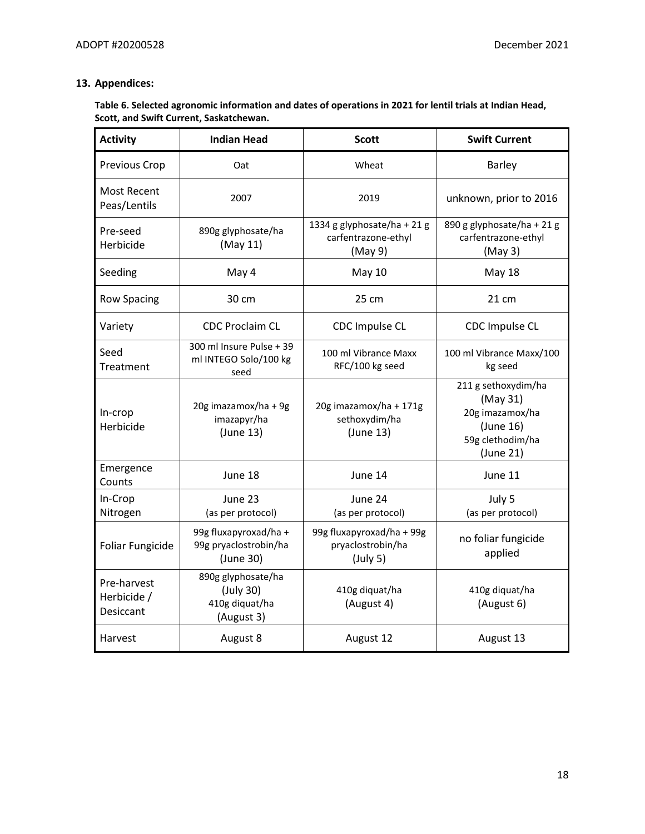# **13. Appendices:**

## **Table 6. Selected agronomic information and dates of operations in 2021 for lentil trials at Indian Head, Scott, and Swift Current, Saskatchewan.**

| <b>Activity</b>                         | <b>Indian Head</b>                                              | <b>Scott</b>                                                  | <b>Swift Current</b>                                                                             |
|-----------------------------------------|-----------------------------------------------------------------|---------------------------------------------------------------|--------------------------------------------------------------------------------------------------|
| Previous Crop                           | Oat                                                             | Wheat                                                         | <b>Barley</b>                                                                                    |
| Most Recent<br>Peas/Lentils             | 2007                                                            | 2019                                                          | unknown, prior to 2016                                                                           |
| Pre-seed<br>Herbicide                   | 890g glyphosate/ha<br>(May 11)                                  | 1334 g glyphosate/ha + 21 g<br>carfentrazone-ethyl<br>(May 9) | 890 g glyphosate/ha + 21 g<br>carfentrazone-ethyl<br>(May3)                                      |
| Seeding                                 | May 4                                                           | <b>May 10</b>                                                 | <b>May 18</b>                                                                                    |
| <b>Row Spacing</b>                      | 30 cm                                                           | 25 cm                                                         | 21 cm                                                                                            |
| Variety                                 | <b>CDC Proclaim CL</b>                                          | CDC Impulse CL                                                | CDC Impulse CL                                                                                   |
| Seed<br>Treatment                       | 300 ml Insure Pulse + 39<br>ml INTEGO Solo/100 kg<br>seed       | 100 ml Vibrance Maxx<br>RFC/100 kg seed                       | 100 ml Vibrance Maxx/100<br>kg seed                                                              |
| In-crop<br>Herbicide                    | 20g imazamox/ha + 9g<br>imazapyr/ha<br>(June 13)                | 20g imazamox/ha + 171g<br>sethoxydim/ha<br>(June 13)          | 211 g sethoxydim/ha<br>(May 31)<br>20g imazamox/ha<br>(June 16)<br>59g clethodim/ha<br>(June 21) |
| Emergence<br>Counts                     | June 18                                                         | June 14                                                       | June 11                                                                                          |
| In-Crop<br>Nitrogen                     | June 23<br>(as per protocol)                                    | June 24<br>(as per protocol)                                  | July 5<br>(as per protocol)                                                                      |
| Foliar Fungicide                        | 99g fluxapyroxad/ha +<br>99g pryaclostrobin/ha<br>(June 30)     | 99g fluxapyroxad/ha + 99g<br>pryaclostrobin/ha<br>(July 5)    | no foliar fungicide<br>applied                                                                   |
| Pre-harvest<br>Herbicide /<br>Desiccant | 890g glyphosate/ha<br>(July 30)<br>410g diquat/ha<br>(August 3) | 410g diquat/ha<br>(August 4)                                  | 410g diquat/ha<br>(August 6)                                                                     |
| Harvest                                 | August 8                                                        | August 12                                                     | August 13                                                                                        |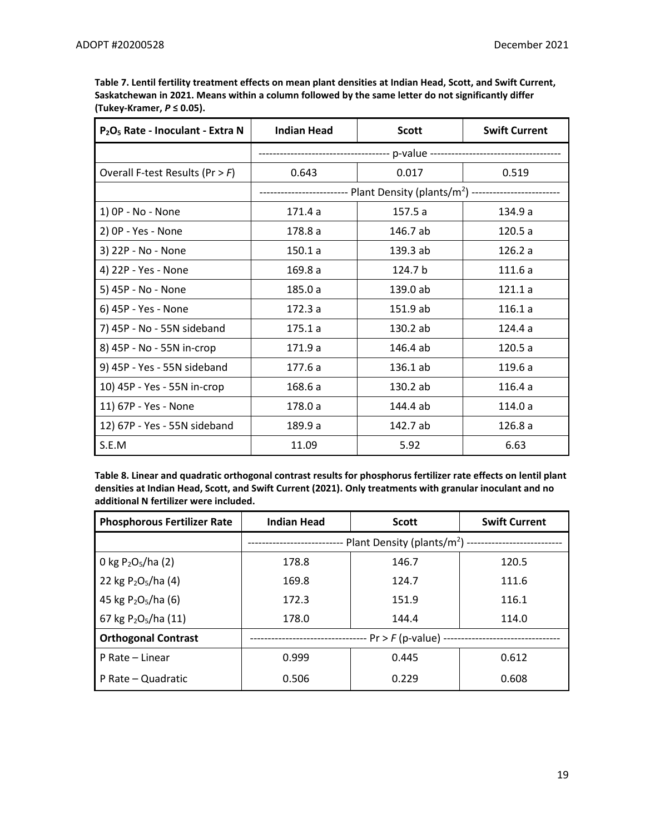| Table 7. Lentil fertility treatment effects on mean plant densities at Indian Head, Scott, and Swift Current, |
|---------------------------------------------------------------------------------------------------------------|
| Saskatchewan in 2021. Means within a column followed by the same letter do not significantly differ           |
| (Tukey-Kramer, $P \leq 0.05$ ).                                                                               |

| P <sub>2</sub> O <sub>5</sub> Rate - Inoculant - Extra N | <b>Indian Head</b> | <b>Scott</b>                                                                                | <b>Swift Current</b> |  |  |
|----------------------------------------------------------|--------------------|---------------------------------------------------------------------------------------------|----------------------|--|--|
|                                                          |                    |                                                                                             |                      |  |  |
| Overall F-test Results ( $Pr > F$ )                      | 0.643              | 0.017                                                                                       | 0.519                |  |  |
|                                                          |                    | ---------------------    Plant Density (plants/m <sup>2</sup> )    ------------------------ |                      |  |  |
| 1) OP - No - None                                        | 171.4a             | 157.5 a                                                                                     | 134.9 a              |  |  |
| 2) OP - Yes - None                                       | 178.8 a            | 146.7 ab                                                                                    | 120.5a               |  |  |
| 3) 22P - No - None                                       | 150.1a             | 139.3 ab                                                                                    | 126.2a               |  |  |
| 4) 22P - Yes - None                                      | 169.8a             | 124.7 b                                                                                     | 111.6 a              |  |  |
| 5) 45P - No - None                                       | 185.0 a            | 139.0 ab                                                                                    | 121.1a               |  |  |
| 6) 45P - Yes - None                                      | 172.3a             | 151.9 ab                                                                                    | 116.1a               |  |  |
| 7) 45P - No - 55N sideband                               | 175.1a             | 130.2 ab                                                                                    | 124.4 a              |  |  |
| 8) 45P - No - 55N in-crop                                | 171.9a             | 146.4 ab                                                                                    | 120.5a               |  |  |
| 9) 45P - Yes - 55N sideband                              | 177.6 a            | 136.1 ab                                                                                    | 119.6 a              |  |  |
| 10) 45P - Yes - 55N in-crop                              | 168.6 a            | 130.2 ab                                                                                    | 116.4a               |  |  |
| 11) 67P - Yes - None                                     | 178.0 a            | 144.4 ab                                                                                    | 114.0 a              |  |  |
| 12) 67P - Yes - 55N sideband                             | 189.9 a            | 142.7 ab                                                                                    | 126.8 a              |  |  |
| S.E.M                                                    | 11.09              | 5.92                                                                                        | 6.63                 |  |  |

**Table 8. Linear and quadratic orthogonal contrast results for phosphorus fertilizer rate effects on lentil plant densities at Indian Head, Scott, and Swift Current (2021). Only treatments with granular inoculant and no additional N fertilizer were included.** 

| <b>Phosphorous Fertilizer Rate</b>           | <b>Indian Head</b>                                               | <b>Scott</b> | <b>Swift Current</b> |  |  |
|----------------------------------------------|------------------------------------------------------------------|--------------|----------------------|--|--|
|                                              | -- Plant Density (plants/m <sup>2</sup> ) ---------------------- |              |                      |  |  |
| 0 kg P <sub>2</sub> O <sub>5</sub> /ha (2)   | 178.8                                                            | 146.7        | 120.5                |  |  |
| 22 kg $P_2O_5/ha(4)$                         | 169.8                                                            | 124.7        | 111.6                |  |  |
| 45 kg $P_2O_5/ha$ (6)                        | 172.3                                                            | 151.9        | 116.1                |  |  |
| 67 kg P <sub>2</sub> O <sub>5</sub> /ha (11) | 178.0                                                            | 144.4        | 114.0                |  |  |
| <b>Orthogonal Contrast</b>                   | -- Pr > F (p-value) --                                           |              |                      |  |  |
| P Rate - Linear                              | 0.999                                                            | 0.445        | 0.612                |  |  |
| P Rate – Quadratic                           | 0.506                                                            | 0.229        | 0.608                |  |  |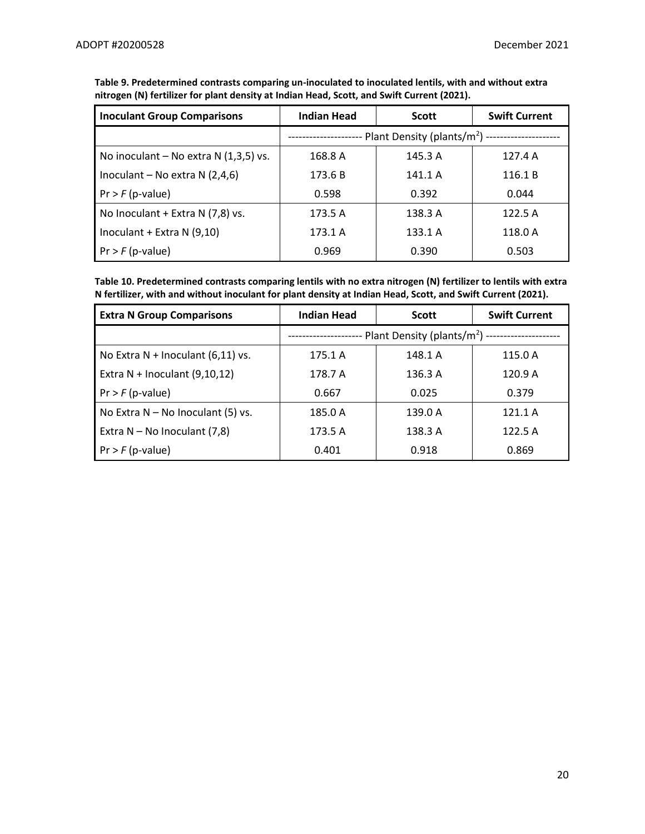| <b>Inoculant Group Comparisons</b>     | <b>Indian Head</b>                           | <b>Scott</b> | <b>Swift Current</b> |  |
|----------------------------------------|----------------------------------------------|--------------|----------------------|--|
|                                        | -- Plant Density (plants/m <sup>2</sup> ) -- |              |                      |  |
| No inoculant – No extra $N(1,3,5)$ vs. | 168.8 A                                      | 145.3 A      | 127.4A               |  |
| Inoculant – No extra $N(2,4,6)$        | 173.6 B                                      | 141.1 A      | 116.1 B              |  |
| $Pr$ > $F$ (p-value)                   | 0.598                                        | 0.392        | 0.044                |  |
| No Inoculant + Extra N (7,8) vs.       | 173.5 A                                      | 138.3 A      | 122.5 A              |  |
| Inoculant + Extra N $(9,10)$           | 173.1 A                                      | 133.1 A      | 118.0 A              |  |
| $Pr$ > $F$ (p-value)                   | 0.969                                        | 0.390        | 0.503                |  |

**Table 9. Predetermined contrasts comparing un-inoculated to inoculated lentils, with and without extra nitrogen (N) fertilizer for plant density at Indian Head, Scott, and Swift Current (2021).** 

**Table 10. Predetermined contrasts comparing lentils with no extra nitrogen (N) fertilizer to lentils with extra N fertilizer, with and without inoculant for plant density at Indian Head, Scott, and Swift Current (2021).** 

| <b>Extra N Group Comparisons</b>    | <b>Indian Head</b>                                                                  | <b>Scott</b> | <b>Swift Current</b> |
|-------------------------------------|-------------------------------------------------------------------------------------|--------------|----------------------|
|                                     | -- Plant Density (plants/m <sup>2</sup> ) ---------------------<br>---------------- |              |                      |
| No Extra $N$ + Inoculant (6,11) vs. | 175.1 A                                                                             | 148.1 A      | 115.0 A              |
| Extra $N$ + Inoculant (9,10,12)     | 178.7 A                                                                             | 136.3 A      | 120.9 A              |
| $Pr$ > $F$ (p-value)                | 0.667                                                                               | 0.025        | 0.379                |
| No Extra $N - No$ Inoculant (5) vs. | 185.0 A                                                                             | 139.0 A      | 121.1A               |
| Extra $N - No$ Inoculant (7,8)      | 173.5 A                                                                             | 138.3 A      | 122.5 A              |
| $Pr$ > $F$ (p-value)                | 0.401                                                                               | 0.918        | 0.869                |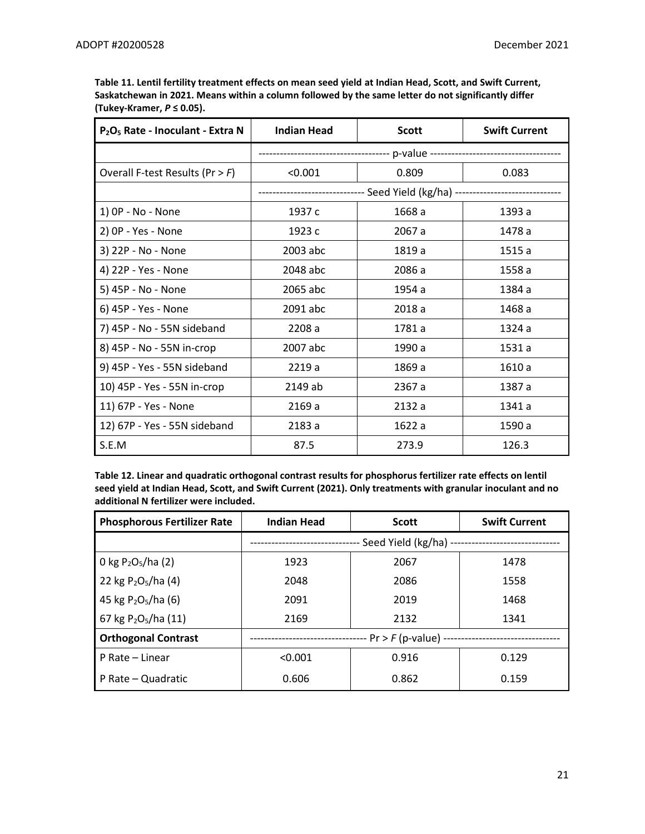| Table 11. Lentil fertility treatment effects on mean seed yield at Indian Head, Scott, and Swift Current, |
|-----------------------------------------------------------------------------------------------------------|
| Saskatchewan in 2021. Means within a column followed by the same letter do not significantly differ       |
| (Tukev-Kramer, $P \leq 0.05$ ).                                                                           |

| P <sub>2</sub> O <sub>5</sub> Rate - Inoculant - Extra N | <b>Indian Head</b> | <b>Scott</b> | <b>Swift Current</b> |  |
|----------------------------------------------------------|--------------------|--------------|----------------------|--|
|                                                          |                    |              |                      |  |
| Overall F-test Results ( $Pr > F$ )                      | < 0.001            | 0.809        | 0.083                |  |
|                                                          |                    |              |                      |  |
| 1) OP - No - None                                        | 1937 c             | 1668 a       | 1393 a               |  |
| 2) OP - Yes - None                                       | 1923 c             | 2067 a       | 1478 a               |  |
| 3) 22P - No - None                                       | 2003 abc           | 1819 a       | 1515 a               |  |
| 4) 22P - Yes - None                                      | 2048 abc           | 2086 a       | 1558 a               |  |
| 5) 45P - No - None                                       | 2065 abc           | 1954 a       | 1384 a               |  |
| 6) 45P - Yes - None                                      | 2091 abc           | 2018 a       | 1468 a               |  |
| 7) 45P - No - 55N sideband                               | 2208 a             | 1781 a       | 1324 a               |  |
| 8) 45P - No - 55N in-crop                                | 2007 abc           | 1990 a       | 1531 a               |  |
| 9) 45P - Yes - 55N sideband                              | 2219 a             | 1869 a       | 1610 a               |  |
| 10) 45P - Yes - 55N in-crop                              | 2149 ab            | 2367 a       | 1387 a               |  |
| 11) 67P - Yes - None                                     | 2169 a             | 2132 a       | 1341 a               |  |
| 12) 67P - Yes - 55N sideband                             | 2183 a             | 1622 a       | 1590 a               |  |
| S.E.M                                                    | 87.5               | 273.9        | 126.3                |  |

**Table 12. Linear and quadratic orthogonal contrast results for phosphorus fertilizer rate effects on lentil seed yield at Indian Head, Scott, and Swift Current (2021). Only treatments with granular inoculant and no additional N fertilizer were included.** 

| <b>Phosphorous Fertilizer Rate</b> | <b>Indian Head</b>     | <b>Scott</b>          | <b>Swift Current</b> |  |
|------------------------------------|------------------------|-----------------------|----------------------|--|
|                                    |                        | Seed Yield (kg/ha) -- |                      |  |
| 0 kg $P_2O_5/ha(2)$                | 1923                   | 2067                  | 1478                 |  |
| 22 kg $P_2O_5/ha$ (4)              | 2048                   | 2086                  | 1558                 |  |
| 45 kg $P_2O_5/ha$ (6)              | 2091                   | 2019                  | 1468                 |  |
| 67 kg $P_2O_5/ha(11)$              | 2169                   | 2132                  | 1341                 |  |
| <b>Orthogonal Contrast</b>         | -- Pr > F (p-value) -- |                       |                      |  |
| P Rate - Linear                    | < 0.001                | 0.916                 | 0.129                |  |
| P Rate – Quadratic                 | 0.606                  | 0.862                 | 0.159                |  |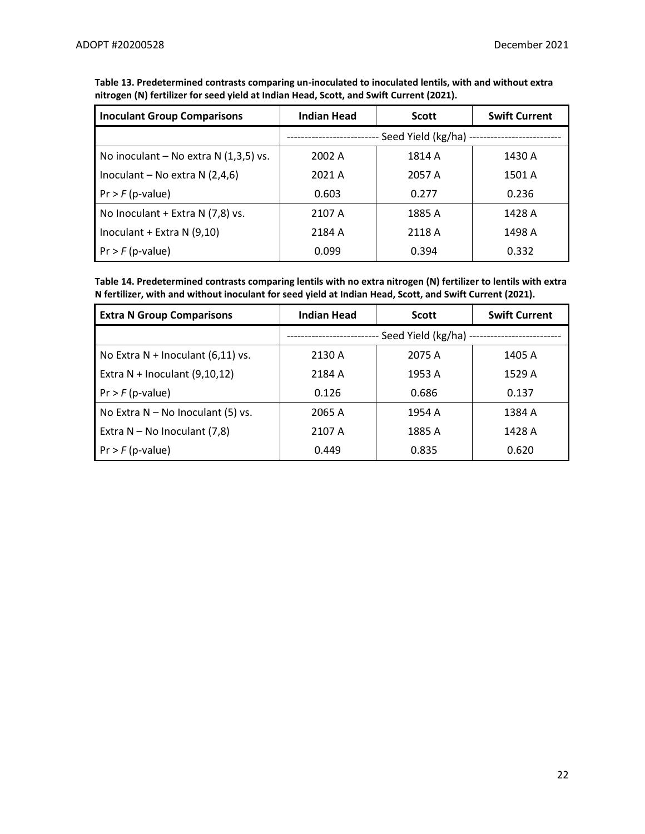| <b>Inoculant Group Comparisons</b>     | Indian Head | <b>Scott</b>                                | <b>Swift Current</b> |
|----------------------------------------|-------------|---------------------------------------------|----------------------|
|                                        |             | Seed Yield (kg/ha) ------------------------ |                      |
| No inoculant – No extra $N(1,3,5)$ vs. | 2002 A      | 1814 A                                      | 1430 A               |
| Inoculant – No extra $N(2,4,6)$        | 2021 A      | 2057 A                                      | 1501 A               |
| $Pr > F(p-value)$                      | 0.603       | 0.277                                       | 0.236                |
| No Inoculant + Extra N (7,8) vs.       | 2107 A      | 1885 A                                      | 1428 A               |
| Inoculant + Extra N (9,10)             | 2184 A      | 2118 A                                      | 1498 A               |
| $Pr$ > $F$ (p-value)                   | 0.099       | 0.394                                       | 0.332                |

**Table 13. Predetermined contrasts comparing un-inoculated to inoculated lentils, with and without extra nitrogen (N) fertilizer for seed yield at Indian Head, Scott, and Swift Current (2021).** 

**Table 14. Predetermined contrasts comparing lentils with no extra nitrogen (N) fertilizer to lentils with extra N fertilizer, with and without inoculant for seed yield at Indian Head, Scott, and Swift Current (2021).** 

| <b>Extra N Group Comparisons</b>    | <b>Indian Head</b>    | <b>Scott</b> | <b>Swift Current</b> |
|-------------------------------------|-----------------------|--------------|----------------------|
|                                     | Seed Yield (kg/ha) -- |              |                      |
| No Extra $N$ + Inoculant (6,11) vs. | 2130 A                | 2075 A       | 1405 A               |
| Extra $N$ + Inoculant (9,10,12)     | 2184 A                | 1953 A       | 1529 A               |
| $Pr$ > $F$ (p-value)                | 0.126                 | 0.686        | 0.137                |
| No Extra $N - No$ Inoculant (5) vs. | 2065 A                | 1954 A       | 1384 A               |
| Extra $N - No$ Inoculant (7,8)      | 2107 A                | 1885 A       | 1428 A               |
| $Pr$ > $F$ (p-value)                | 0.449                 | 0.835        | 0.620                |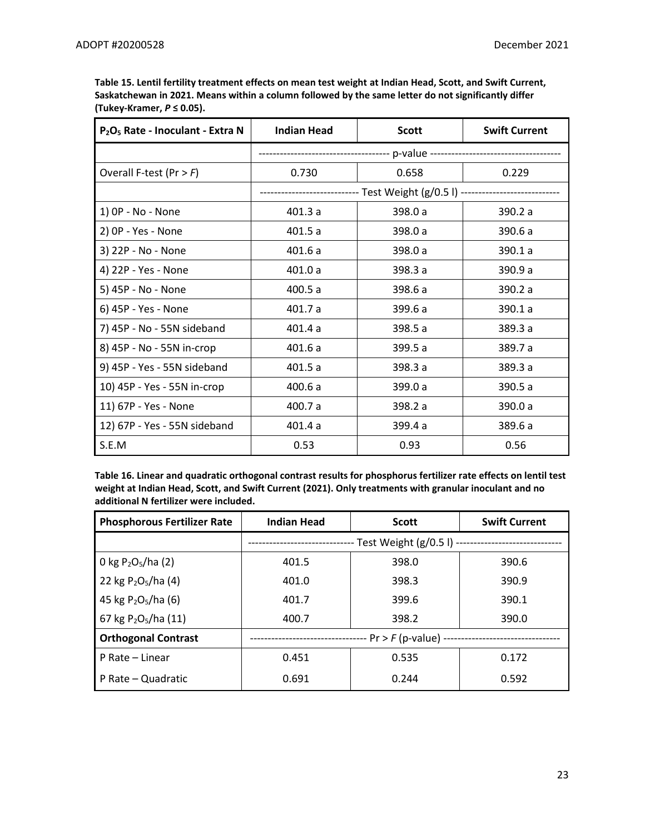| P <sub>2</sub> O <sub>5</sub> Rate - Inoculant - Extra N | <b>Indian Head</b> | <b>Scott</b>                                                                    | <b>Swift Current</b> |
|----------------------------------------------------------|--------------------|---------------------------------------------------------------------------------|----------------------|
|                                                          |                    |                                                                                 |                      |
| Overall F-test (Pr $>$ F)                                | 0.730              | 0.658                                                                           | 0.229                |
|                                                          |                    | -------------------------    Test Weight (g/0.5 l)    ------------------------- |                      |
| 1) OP - No - None                                        | 401.3a             | 398.0 a                                                                         | 390.2 a              |
| 2) OP - Yes - None                                       | 401.5a             | 398.0 a                                                                         | 390.6 a              |
| 3) 22P - No - None                                       | 401.6a             | 398.0 a                                                                         | 390.1 a              |
| 4) 22P - Yes - None                                      | 401.0a             | 398.3 a                                                                         | 390.9 a              |
| 5) 45P - No - None                                       | 400.5 a            | 398.6 a                                                                         | 390.2 a              |
| 6) 45P - Yes - None                                      | 401.7a             | 399.6 a                                                                         | 390.1 a              |
| 7) 45P - No - 55N sideband                               | 401.4a             | 398.5 a                                                                         | 389.3a               |
| 8) 45P - No - 55N in-crop                                | 401.6a             | 399.5 a                                                                         | 389.7 a              |
| 9) 45P - Yes - 55N sideband                              | 401.5a             | 398.3 a                                                                         | 389.3 a              |
| 10) 45P - Yes - 55N in-crop                              | 400.6 a            | 399.0 a                                                                         | 390.5 a              |
| 11) 67P - Yes - None                                     | 400.7 a            | 398.2 a                                                                         | 390.0 a              |
| 12) 67P - Yes - 55N sideband                             | 401.4a             | 399.4 a                                                                         | 389.6 a              |
| S.E.M                                                    | 0.53               | 0.93                                                                            | 0.56                 |

**Table 15. Lentil fertility treatment effects on mean test weight at Indian Head, Scott, and Swift Current, Saskatchewan in 2021. Means within a column followed by the same letter do not significantly differ (Tukey-Kramer,** *P* **≤ 0.05).**

**Table 16. Linear and quadratic orthogonal contrast results for phosphorus fertilizer rate effects on lentil test weight at Indian Head, Scott, and Swift Current (2021). Only treatments with granular inoculant and no additional N fertilizer were included.** 

| <b>Phosphorous Fertilizer Rate</b>           | <b>Indian Head</b>   | <b>Scott</b>             | <b>Swift Current</b> |  |
|----------------------------------------------|----------------------|--------------------------|----------------------|--|
|                                              |                      | Test Weight $(g/0.5)$ -- |                      |  |
| 0 kg $P_2O_5/ha(2)$                          | 401.5                | 398.0                    | 390.6                |  |
| 22 kg $P_2O_5/ha(4)$                         | 401.0                | 398.3                    | 390.9                |  |
| 45 kg $P_2O_5/ha$ (6)                        | 401.7                | 399.6                    | 390.1                |  |
| 67 kg P <sub>2</sub> O <sub>5</sub> /ha (11) | 400.7                | 398.2                    | 390.0                |  |
| <b>Orthogonal Contrast</b>                   | - Pr > F (p-value) - |                          |                      |  |
| P Rate - Linear                              | 0.451                | 0.535                    | 0.172                |  |
| P Rate - Quadratic                           | 0.691                | 0.244                    | 0.592                |  |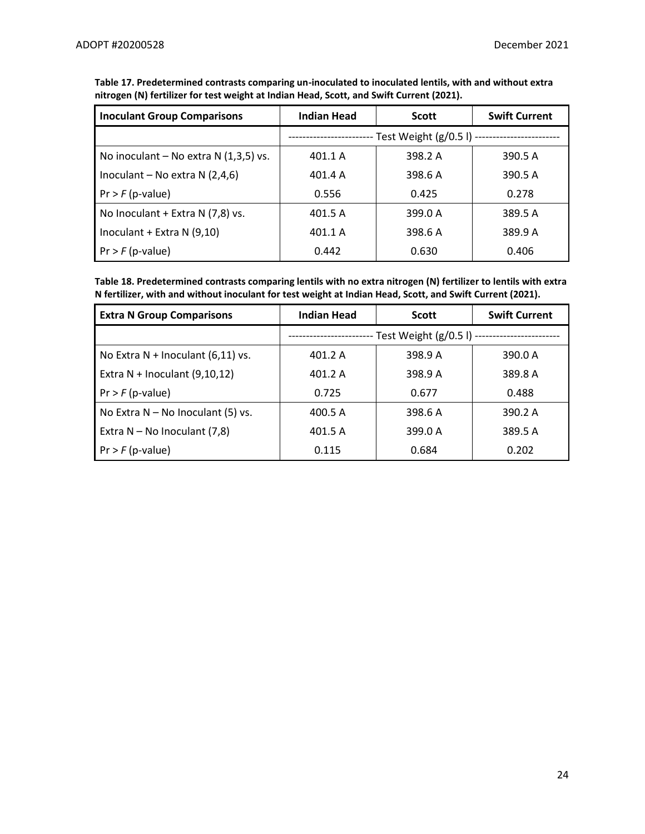| <b>Inoculant Group Comparisons</b>     | <b>Indian Head</b> | <b>Scott</b>                                      | <b>Swift Current</b> |
|----------------------------------------|--------------------|---------------------------------------------------|----------------------|
|                                        |                    | -- Test Weight (g/0.5 l) ------------------------ |                      |
| No inoculant – No extra $N(1,3,5)$ vs. | 401.1 A            | 398.2 A                                           | 390.5 A              |
| Inoculant – No extra $N(2,4,6)$        | 401.4 A            | 398.6 A                                           | 390.5 A              |
| $Pr$ > $F$ (p-value)                   | 0.556              | 0.425                                             | 0.278                |
| No Inoculant + Extra N (7,8) vs.       | 401.5 A            | 399.0 A                                           | 389.5 A              |
| Inoculant + Extra N $(9,10)$           | 401.1 A            | 398.6 A                                           | 389.9 A              |
| $Pr$ > $F$ (p-value)                   | 0.442              | 0.630                                             | 0.406                |

**Table 17. Predetermined contrasts comparing un-inoculated to inoculated lentils, with and without extra nitrogen (N) fertilizer for test weight at Indian Head, Scott, and Swift Current (2021).** 

**Table 18. Predetermined contrasts comparing lentils with no extra nitrogen (N) fertilizer to lentils with extra N fertilizer, with and without inoculant for test weight at Indian Head, Scott, and Swift Current (2021).** 

| <b>Extra N Group Comparisons</b>    | <b>Indian Head</b>                         | <b>Scott</b> | <b>Swift Current</b> |
|-------------------------------------|--------------------------------------------|--------------|----------------------|
|                                     | - Test Weight (g/0.5 l) ------------------ |              |                      |
| No Extra $N$ + Inoculant (6,11) vs. | 401.2 A                                    | 398.9 A      | 390.0 A              |
| Extra $N$ + Inoculant (9,10,12)     | 401.2 A                                    | 398.9 A      | 389.8 A              |
| $Pr$ > $F$ (p-value)                | 0.725                                      | 0.677        | 0.488                |
| No Extra $N - No$ Inoculant (5) vs. | 400.5 A                                    | 398.6 A      | 390.2 A              |
| Extra $N - No$ Inoculant (7,8)      | 401.5 A                                    | 399.0 A      | 389.5 A              |
| $Pr$ > $F$ (p-value)                | 0.115                                      | 0.684        | 0.202                |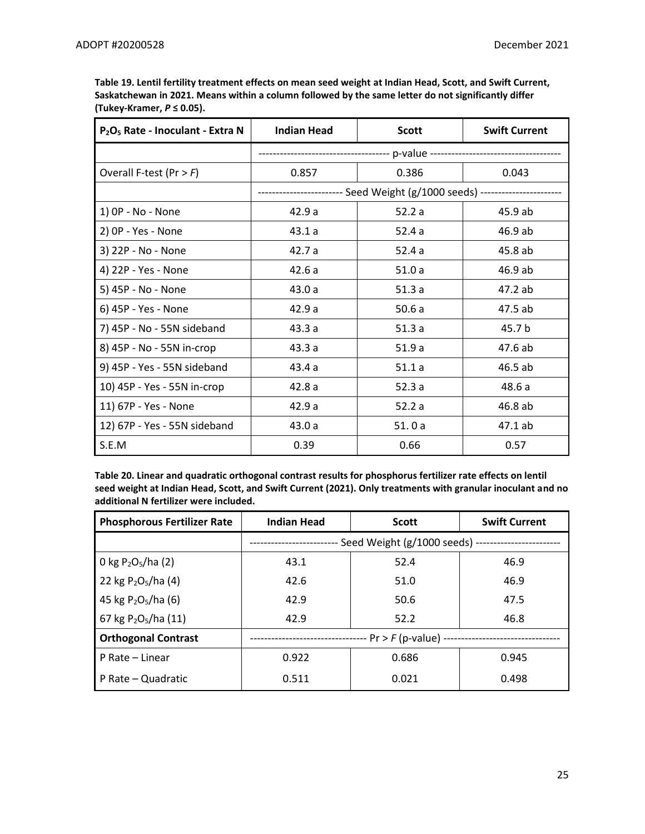| P <sub>2</sub> O <sub>5</sub> Rate - Inoculant - Extra N | <b>Indian Head</b> | <b>Scott</b> | <b>Swift Current</b> |
|----------------------------------------------------------|--------------------|--------------|----------------------|
|                                                          |                    |              |                      |
| Overall F-test (Pr $>$ F)                                | 0.857              | 0.386        | 0.043                |
|                                                          |                    |              |                      |
| 1) OP - No - None                                        | 42.9a              | 52.2a        | 45.9 ab              |
| 2) OP - Yes - None                                       | 43.1a              | 52.4a        | 46.9 ab              |
| 3) 22P - No - None                                       | 42.7 a             | 52.4a        | 45.8 ab              |
| 4) 22P - Yes - None                                      | 42.6a              | 51.0a        | 46.9 ab              |
| 5) 45P - No - None                                       | 43.0a              | 51.3a        | 47.2 ab              |
| 6) 45P - Yes - None                                      | 42.9a              | 50.6a        | 47.5 ab              |
| 7) 45P - No - 55N sideband                               | 43.3a              | 51.3a        | 45.7 b               |
| 8) 45P - No - 55N in-crop                                | 43.3a              | 51.9a        | 47.6 ab              |
| 9) 45P - Yes - 55N sideband                              | 43.4 a             | 51.1a        | 46.5 ab              |
| 10) 45P - Yes - 55N in-crop                              | 42.8a              | 52.3a        | 48.6 a               |
| 11) 67P - Yes - None                                     | 42.9a              | 52.2a        | 46.8 ab              |
| 12) 67P - Yes - 55N sideband                             | 43.0a              | 51.0a        | 47.1 ab              |
| S.E.M                                                    | 0.39               | 0.66         | 0.57                 |

**Table 19. Lentil fertility treatment effects on mean seed weight at Indian Head, Scott, and Swift Current, Saskatchewan in 2021. Means within a column followed by the same letter do not significantly differ (Tukey-Kramer,** *P* **≤ 0.05).**

**Table 20. Linear and quadratic orthogonal contrast results for phosphorus fertilizer rate effects on lentil seed weight at Indian Head, Scott, and Swift Current (2021). Only treatments with granular inoculant and no additional N fertilizer were included.** 

| <b>Phosphorous Fertilizer Rate</b>           | <b>Indian Head</b>     | <b>Scott</b>                   | <b>Swift Current</b> |  |  |
|----------------------------------------------|------------------------|--------------------------------|----------------------|--|--|
|                                              |                        | Seed Weight (g/1000 seeds) --- |                      |  |  |
| 0 kg $P_2O_5/ha(2)$                          | 43.1                   | 52.4                           | 46.9                 |  |  |
| 22 kg P <sub>2</sub> O <sub>5</sub> /ha (4)  | 42.6                   | 51.0                           | 46.9                 |  |  |
| 45 kg $P_2O_5/ha$ (6)                        | 42.9                   | 50.6                           | 47.5                 |  |  |
| 67 kg P <sub>2</sub> O <sub>5</sub> /ha (11) | 42.9                   | 52.2                           | 46.8                 |  |  |
| <b>Orthogonal Contrast</b>                   | -- Pr > F (p-value) -- |                                |                      |  |  |
| P Rate - Linear                              | 0.922                  | 0.686                          | 0.945                |  |  |
| P Rate – Quadratic                           | 0.511                  | 0.021                          | 0.498                |  |  |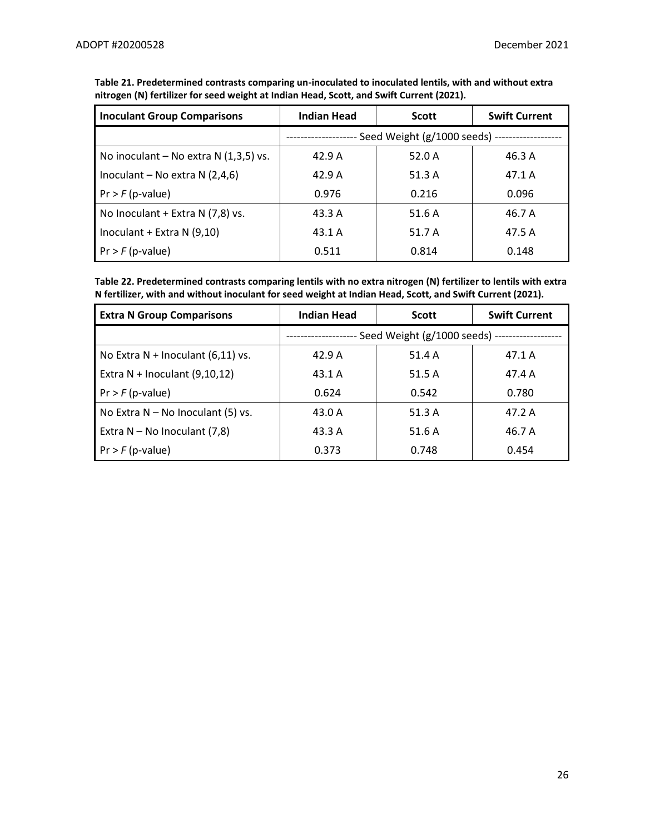| <b>Inoculant Group Comparisons</b>     | Indian Head | <b>Scott</b>                                   | <b>Swift Current</b> |
|----------------------------------------|-------------|------------------------------------------------|----------------------|
|                                        |             | Seed Weight (g/1000 seeds) ------------------- |                      |
| No inoculant – No extra $N(1,3,5)$ vs. | 42.9A       | 52.0 A                                         | 46.3 A               |
| Inoculant – No extra $N(2,4,6)$        | 42.9A       | 51.3A                                          | 47.1 A               |
| $Pr$ > $F$ (p-value)                   | 0.976       | 0.216                                          | 0.096                |
| No Inoculant + Extra N (7,8) vs.       | 43.3 A      | 51.6 A                                         | 46.7 A               |
| Inoculant + Extra N $(9,10)$           | 43.1 A      | 51.7 A                                         | 47.5 A               |
| $Pr$ > $F$ (p-value)                   | 0.511       | 0.814                                          | 0.148                |

**Table 21. Predetermined contrasts comparing un-inoculated to inoculated lentils, with and without extra nitrogen (N) fertilizer for seed weight at Indian Head, Scott, and Swift Current (2021).** 

**Table 22. Predetermined contrasts comparing lentils with no extra nitrogen (N) fertilizer to lentils with extra N fertilizer, with and without inoculant for seed weight at Indian Head, Scott, and Swift Current (2021).** 

| <b>Extra N Group Comparisons</b>    | <b>Indian Head</b>                             | <b>Scott</b> | <b>Swift Current</b> |
|-------------------------------------|------------------------------------------------|--------------|----------------------|
|                                     | Seed Weight (g/1000 seeds) ------------------- |              |                      |
| No Extra $N$ + Inoculant (6,11) vs. | 42.9A                                          | 51.4 A       | 47.1 A               |
| Extra $N$ + Inoculant (9,10,12)     | 43.1 A                                         | 51.5 A       | 47.4 A               |
| $Pr$ > $F$ (p-value)                | 0.624                                          | 0.542        | 0.780                |
| No Extra $N - No$ Inoculant (5) vs. | 43.0 A                                         | 51.3 A       | 47.2 A               |
| Extra $N - No$ Inoculant (7,8)      | 43.3 A                                         | 51.6 A       | 46.7 A               |
| $Pr$ > $F$ (p-value)                | 0.373                                          | 0.748        | 0.454                |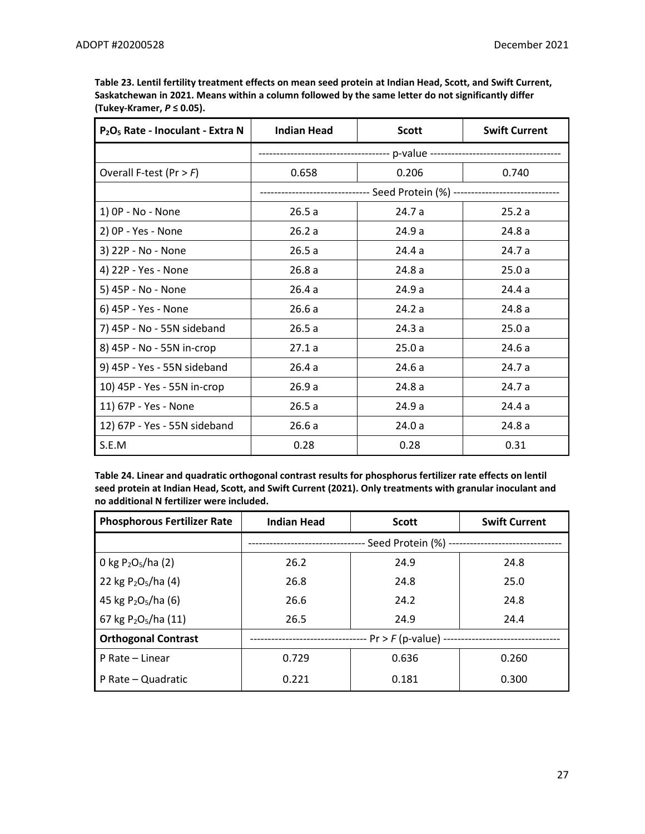| P <sub>2</sub> O <sub>5</sub> Rate - Inoculant - Extra N | <b>Indian Head</b> | <b>Scott</b> | <b>Swift Current</b> |
|----------------------------------------------------------|--------------------|--------------|----------------------|
|                                                          |                    |              |                      |
| Overall F-test (Pr $>$ F)                                | 0.658              | 0.206        | 0.740                |
|                                                          |                    |              |                      |
| 1) OP - No - None                                        | 26.5a              | 24.7 a       | 25.2a                |
| 2) OP - Yes - None                                       | 26.2a              | 24.9a        | 24.8a                |
| 3) 22P - No - None                                       | 26.5a              | 24.4 a       | 24.7 a               |
| 4) 22P - Yes - None                                      | 26.8a              | 24.8a        | 25.0a                |
| 5) 45P - No - None                                       | 26.4a              | 24.9 a       | 24.4 a               |
| 6) 45P - Yes - None                                      | 26.6a              | 24.2a        | 24.8a                |
| 7) 45P - No - 55N sideband                               | 26.5a              | 24.3a        | 25.0a                |
| 8) 45P - No - 55N in-crop                                | 27.1a              | 25.0a        | 24.6a                |
| 9) 45P - Yes - 55N sideband                              | 26.4a              | 24.6a        | 24.7 a               |
| 10) 45P - Yes - 55N in-crop                              | 26.9a              | 24.8a        | 24.7 a               |
| 11) 67P - Yes - None                                     | 26.5a              | 24.9 a       | 24.4 a               |
| 12) 67P - Yes - 55N sideband                             | 26.6a              | 24.0a        | 24.8a                |
| S.E.M                                                    | 0.28               | 0.28         | 0.31                 |

**Table 23. Lentil fertility treatment effects on mean seed protein at Indian Head, Scott, and Swift Current, Saskatchewan in 2021. Means within a column followed by the same letter do not significantly differ (Tukey-Kramer,** *P* **≤ 0.05).**

**Table 24. Linear and quadratic orthogonal contrast results for phosphorus fertilizer rate effects on lentil seed protein at Indian Head, Scott, and Swift Current (2021). Only treatments with granular inoculant and no additional N fertilizer were included.** 

| <b>Phosphorous Fertilizer Rate</b> | <b>Indian Head</b>                             | <b>Scott</b> | <b>Swift Current</b> |
|------------------------------------|------------------------------------------------|--------------|----------------------|
|                                    | - Seed Protein (%) --------------------------- |              |                      |
| 0 kg $P_2O_5/ha(2)$                | 26.2                                           | 24.9         | 24.8                 |
| 22 kg $P_2O_5/ha(4)$               | 26.8                                           | 24.8         | 25.0                 |
| 45 kg $P_2O_5/ha$ (6)              | 26.6                                           | 24.2         | 24.8                 |
| 67 kg $P_2O_5/ha(11)$              | 26.5                                           | 24.9         | 24.4                 |
| <b>Orthogonal Contrast</b>         | -- Pr > F (p-value) --                         |              |                      |
| P Rate - Linear                    | 0.729                                          | 0.636        | 0.260                |
| P Rate - Quadratic                 | 0.221                                          | 0.181        | 0.300                |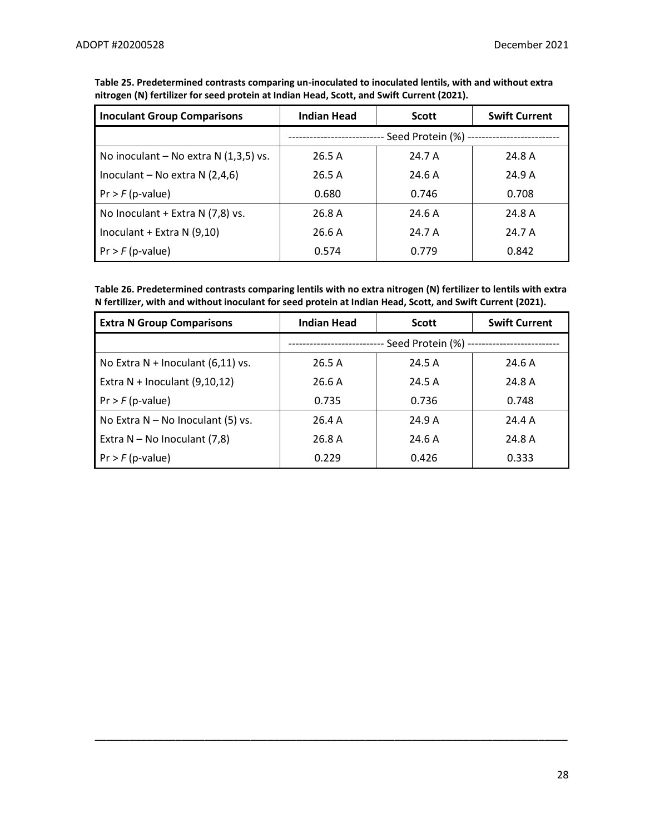| <b>Inoculant Group Comparisons</b>     | <b>Indian Head</b>                          | <b>Scott</b> | <b>Swift Current</b> |
|----------------------------------------|---------------------------------------------|--------------|----------------------|
|                                        | Seed Protein (%) -------------------------- |              |                      |
| No inoculant – No extra $N(1,3,5)$ vs. | 26.5A                                       | 24.7 A       | 24.8 A               |
| Inoculant – No extra $N(2,4,6)$        | 26.5A                                       | 24.6A        | 24.9A                |
| $Pr$ > $F$ (p-value)                   | 0.680                                       | 0.746        | 0.708                |
| No Inoculant + Extra N (7,8) vs.       | 26.8 A                                      | 24.6A        | 24.8 A               |
| Inoculant + Extra N $(9,10)$           | 26.6A                                       | 24.7 A       | 24.7 A               |
| $Pr$ > $F$ (p-value)                   | 0.574                                       | 0.779        | 0.842                |

**Table 25. Predetermined contrasts comparing un-inoculated to inoculated lentils, with and without extra nitrogen (N) fertilizer for seed protein at Indian Head, Scott, and Swift Current (2021).** 

**Table 26. Predetermined contrasts comparing lentils with no extra nitrogen (N) fertilizer to lentils with extra N fertilizer, with and without inoculant for seed protein at Indian Head, Scott, and Swift Current (2021).** 

| <b>Extra N Group Comparisons</b>    | Indian Head             | <b>Scott</b> | <b>Swift Current</b> |
|-------------------------------------|-------------------------|--------------|----------------------|
|                                     | -- Seed Protein (%) --- |              |                      |
| No Extra $N$ + Inoculant (6,11) vs. | 26.5A                   | 24.5 A       | 24.6A                |
| Extra $N$ + Inoculant (9,10,12)     | 26.6 A                  | 24.5 A       | 24.8 A               |
| $Pr$ > $F$ (p-value)                | 0.735                   | 0.736        | 0.748                |
| No Extra $N - No$ Inoculant (5) vs. | 26.4 A                  | 24.9A        | 24.4 A               |
| Extra $N - No$ Inoculant (7,8)      | 26.8 A                  | 24.6A        | 24.8 A               |
| $Pr$ > $F$ (p-value)                | 0.229                   | 0.426        | 0.333                |

**\_\_\_\_\_\_\_\_\_\_\_\_\_\_\_\_\_\_\_\_\_\_\_\_\_\_\_\_\_\_\_\_\_\_\_\_\_\_\_\_\_\_\_\_\_\_\_\_\_\_\_\_\_\_\_\_\_\_\_\_\_\_\_\_\_\_\_\_\_\_\_\_\_\_\_\_\_\_\_\_\_\_**